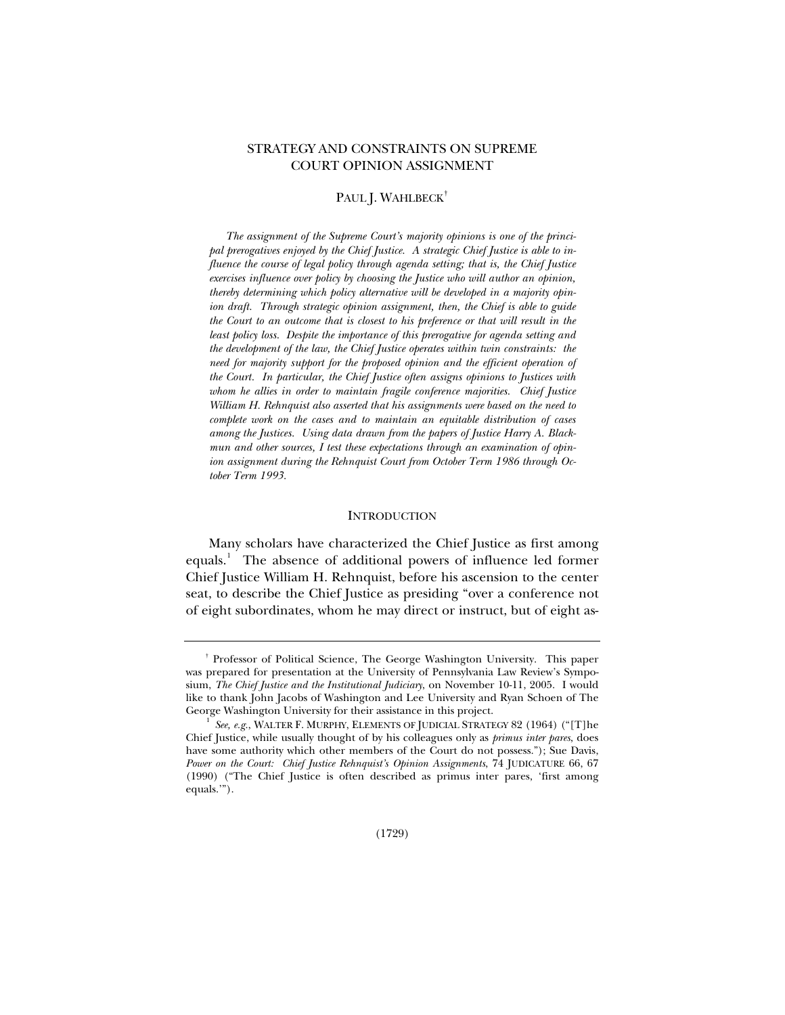# STRATEGY AND CONSTRAINTS ON SUPREME COURT OPINION ASSIGNMENT

# PAUL J. WAHLBECK<sup>[†](#page-0-0)</sup>

 *The assignment of the Supreme Court's majority opinions is one of the principal prerogatives enjoyed by the Chief Justice. A strategic Chief Justice is able to influence the course of legal policy through agenda setting; that is, the Chief Justice exercises influence over policy by choosing the Justice who will author an opinion, thereby determining which policy alternative will be developed in a majority opinion draft. Through strategic opinion assignment, then, the Chief is able to guide the Court to an outcome that is closest to his preference or that will result in the least policy loss. Despite the importance of this prerogative for agenda setting and the development of the law, the Chief Justice operates within twin constraints: the need for majority support for the proposed opinion and the efficient operation of the Court. In particular, the Chief Justice often assigns opinions to Justices with whom he allies in order to maintain fragile conference majorities. Chief Justice William H. Rehnquist also asserted that his assignments were based on the need to complete work on the cases and to maintain an equitable distribution of cases among the Justices. Using data drawn from the papers of Justice Harry A. Blackmun and other sources, I test these expectations through an examination of opinion assignment during the Rehnquist Court from October Term 1986 through October Term 1993.* 

#### **INTRODUCTION**

Many scholars have characterized the Chief Justice as first among equals.<sup>[1](#page-0-1)</sup> The absence of additional powers of influence led former Chief Justice William H. Rehnquist, before his ascension to the center seat, to describe the Chief Justice as presiding "over a conference not of eight subordinates, whom he may direct or instruct, but of eight as-

<span id="page-0-0"></span>† Professor of Political Science, The George Washington University. This paper was prepared for presentation at the University of Pennsylvania Law Review's Symposium, *The Chief Justice and the Institutional Judiciary*, on November 10-11, 2005. I would like to thank John Jacobs of Washington and Lee University and Ryan Schoen of The George Washington University for their assistance in this project.

<span id="page-0-1"></span>See, e.g., WALTER F. MURPHY, ELEMENTS OF JUDICIAL STRATEGY 82 (1964) ("[T]he Chief Justice, while usually thought of by his colleagues only as *primus inter pares*, does have some authority which other members of the Court do not possess."); Sue Davis, *Power on the Court: Chief Justice Rehnquist's Opinion Assignments*, 74 JUDICATURE 66, 67 (1990) ("The Chief Justice is often described as primus inter pares, 'first among equals.'").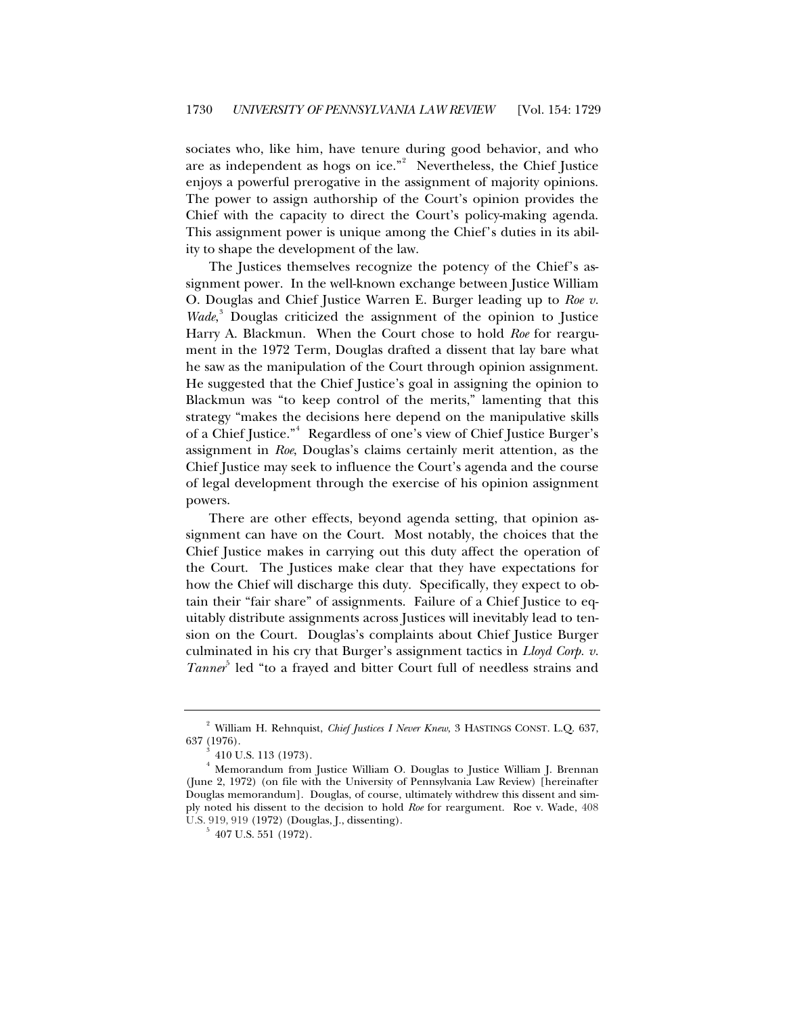sociates who, like him, have tenure during good behavior, and who are as independent as hogs on ice." $2$  Nevertheless, the Chief Justice enjoys a powerful prerogative in the assignment of majority opinions. The power to assign authorship of the Court's opinion provides the Chief with the capacity to direct the Court's policy-making agenda. This assignment power is unique among the Chief's duties in its ability to shape the development of the law.

The Justices themselves recognize the potency of the Chief's assignment power. In the well-known exchange between Justice William O. Douglas and Chief Justice Warren E. Burger leading up to *Roe v.*  Wade,<sup>3</sup> Douglas criticized the assignment of the opinion to Justice Harry A. Blackmun. When the Court chose to hold *Roe* for reargument in the 1972 Term, Douglas drafted a dissent that lay bare what he saw as the manipulation of the Court through opinion assignment. He suggested that the Chief Justice's goal in assigning the opinion to Blackmun was "to keep control of the merits," lamenting that this strategy "makes the decisions here depend on the manipulative skills of a Chief Justice."<sup>4</sup> Regardless of one's view of Chief Justice Burger's assignment in *Roe*, Douglas's claims certainly merit attention, as the Chief Justice may seek to influence the Court's agenda and the course of legal development through the exercise of his opinion assignment powers.

There are other effects, beyond agenda setting, that opinion assignment can have on the Court. Most notably, the choices that the Chief Justice makes in carrying out this duty affect the operation of the Court. The Justices make clear that they have expectations for how the Chief will discharge this duty. Specifically, they expect to obtain their "fair share" of assignments. Failure of a Chief Justice to equitably distribute assignments across Justices will inevitably lead to tension on the Court. Douglas's complaints about Chief Justice Burger culminated in his cry that Burger's assignment tactics in *Lloyd Corp. v.*  Tanner<sup>5</sup> led "to a frayed and bitter Court full of needless strains and

<sup>&</sup>lt;sup>2</sup> William H. Rehnquist, *Chief Justices I Never Knew*, 3 HASTINGS CONST. L.Q. 637, 637 (1976).<br> $3\frac{1}{10}$  U.S. 113 (1973).

 $^{\circ}$  410 U.S. 113 (1973).<br><sup>4</sup> Memorandum from Justice William O. Douglas to Justice William J. Brennan (June 2, 1972) (on file with the University of Pennsylvania Law Review) [hereinafter Douglas memorandum]. Douglas, of course, ultimately withdrew this dissent and simply noted his dissent to the decision to hold *Roe* for reargument. Roe v. Wade, 408 U.S. 919, 919 (1972) (Douglas, J., dissenting). 5 407 U.S. 551 (1972).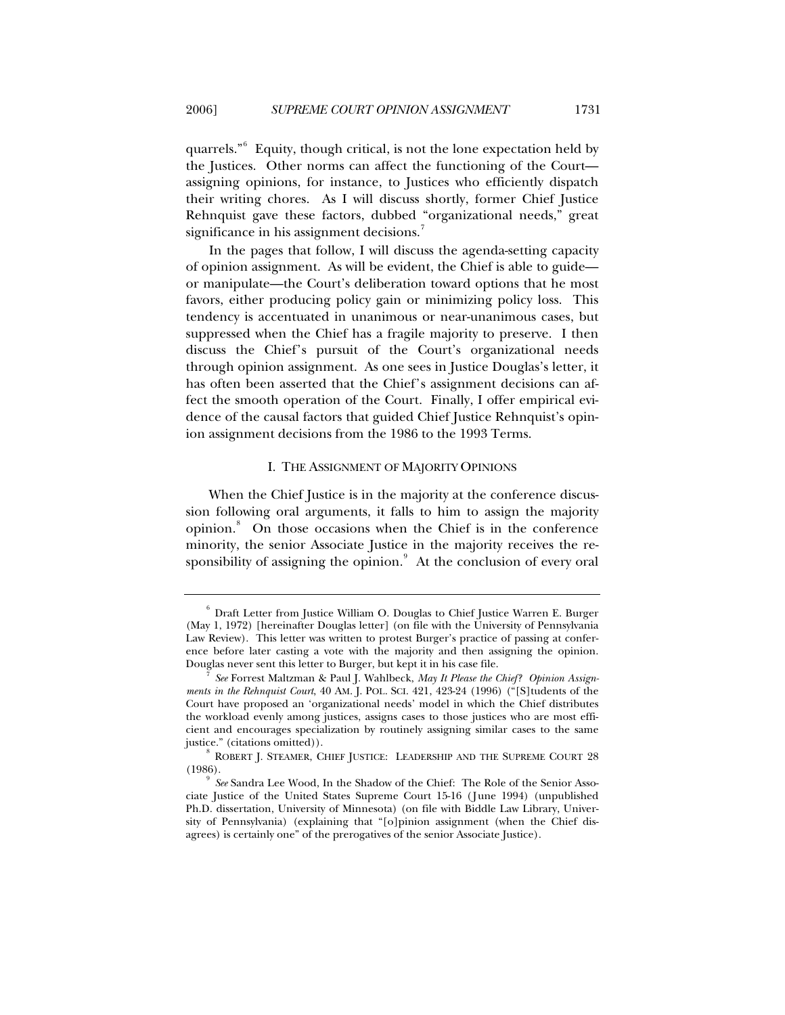quarrels."<sup>[6](#page-2-0)</sup> Equity, though critical, is not the lone expectation held by the Justices. Other norms can affect the functioning of the Court assigning opinions, for instance, to Justices who efficiently dispatch their writing chores. As I will discuss shortly, former Chief Justice Rehnquist gave these factors, dubbed "organizational needs," great significance in his assignment decisions.<sup>[7](#page-2-1)</sup>

In the pages that follow, I will discuss the agenda-setting capacity of opinion assignment. As will be evident, the Chief is able to guide or manipulate—the Court's deliberation toward options that he most favors, either producing policy gain or minimizing policy loss. This tendency is accentuated in unanimous or near-unanimous cases, but suppressed when the Chief has a fragile majority to preserve. I then discuss the Chief's pursuit of the Court's organizational needs through opinion assignment. As one sees in Justice Douglas's letter, it has often been asserted that the Chief's assignment decisions can affect the smooth operation of the Court. Finally, I offer empirical evidence of the causal factors that guided Chief Justice Rehnquist's opinion assignment decisions from the 1986 to the 1993 Terms.

#### I. THE ASSIGNMENT OF MAJORITY OPINIONS

When the Chief Justice is in the majority at the conference discussion following oral arguments, it falls to him to assign the majority opinion.<sup>[8](#page-2-2)</sup> On those occasions when the Chief is in the conference minority, the senior Associate Justice in the majority receives the re-sponsibility of assigning the opinion.<sup>[9](#page-2-3)</sup> At the conclusion of every oral

<span id="page-2-0"></span> $^6$  Draft Letter from Justice William O. Douglas to Chief Justice Warren E. Burger (May 1, 1972) [hereinafter Douglas letter] (on file with the University of Pennsylvania Law Review). This letter was written to protest Burger's practice of passing at conference before later casting a vote with the majority and then assigning the opinion. Douglas never sent this letter to Burger, but kept it in his case file. 7 *See* Forrest Maltzman & Paul J. Wahlbeck, *May It Please the Chief? Opinion Assign-*

<span id="page-2-1"></span>*ments in the Rehnquist Court*, 40 AM. J. POL. SCI. 421, 423-24 (1996) ("[S]tudents of the Court have proposed an 'organizational needs' model in which the Chief distributes the workload evenly among justices, assigns cases to those justices who are most efficient and encourages specialization by routinely assigning similar cases to the same

<span id="page-2-2"></span>justice." (citations omitted)). 8 BOBERT J. STEAMER, CHIEF JUSTICE: LEADERSHIP AND THE SUPREME COURT 28 (1986). 9 *See* Sandra Lee Wood, In the Shadow of the Chief: The Role of the Senior Asso-

<span id="page-2-3"></span>ciate Justice of the United States Supreme Court 15-16 (June 1994) (unpublished Ph.D. dissertation, University of Minnesota) (on file with Biddle Law Library, University of Pennsylvania) (explaining that "[o]pinion assignment (when the Chief disagrees) is certainly one" of the prerogatives of the senior Associate Justice).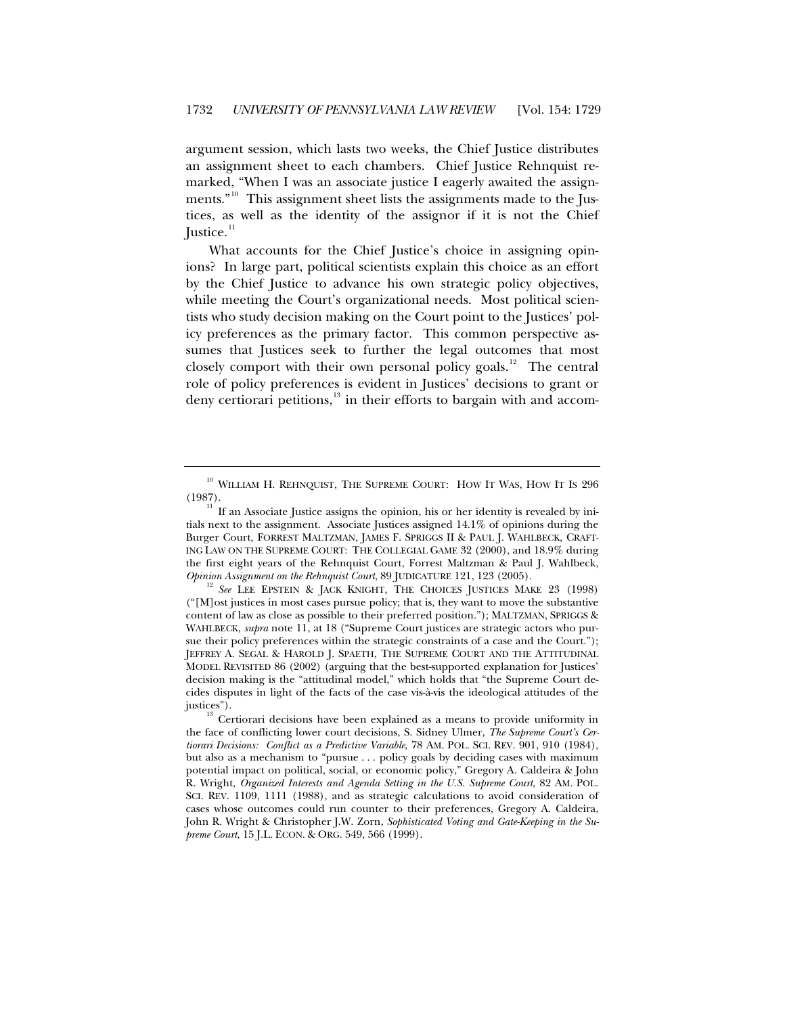argument session, which lasts two weeks, the Chief Justice distributes an assignment sheet to each chambers. Chief Justice Rehnquist remarked, "When I was an associate justice I eagerly awaited the assign-ments."<sup>[10](#page-3-0)</sup> This assignment sheet lists the assignments made to the Justices, as well as the identity of the assignor if it is not the Chief Justice. $11$ 

What accounts for the Chief Justice's choice in assigning opinions? In large part, political scientists explain this choice as an effort by the Chief Justice to advance his own strategic policy objectives, while meeting the Court's organizational needs. Most political scientists who study decision making on the Court point to the Justices' policy preferences as the primary factor. This common perspective assumes that Justices seek to further the legal outcomes that most closely comport with their own personal policy goals.<sup>[12](#page-3-2)</sup> The central role of policy preferences is evident in Justices' decisions to grant or deny certiorari petitions, $13$  in their efforts to bargain with and accom-

<span id="page-3-0"></span> $^{10}$  WILLIAM H. REHNQUIST, THE SUPREME COURT: HOW IT WAS, HOW IT IS 296 (1987).

<span id="page-3-1"></span>If an Associate Justice assigns the opinion, his or her identity is revealed by initials next to the assignment. Associate Justices assigned 14.1% of opinions during the Burger Court, FORREST MALTZMAN, JAMES F. SPRIGGS II & PAUL J. WAHLBECK, CRAFT-ING LAW ON THE SUPREME COURT: THE COLLEGIAL GAME 32 (2000), and 18.9% during the first eight years of the Rehnquist Court, Forrest Maltzman & Paul J. Wahlbeck, *Opinion Assignment on the Rehnquist Court*, 89 JUDICATURE 121, 123 (2005).<br><sup>12</sup> *See* LEE EPSTEIN & JACK KNIGHT, THE CHOICES JUSTICES MAKE 23 (1998)

<span id="page-3-2"></span><sup>(&</sup>quot;[M]ost justices in most cases pursue policy; that is, they want to move the substantive content of law as close as possible to their preferred position."); MALTZMAN, SPRIGGS & WAHLBECK, *supra* note 11, at 18 ("Supreme Court justices are strategic actors who pursue their policy preferences within the strategic constraints of a case and the Court."); JEFFREY A. SEGAL & HAROLD J. SPAETH, THE SUPREME COURT AND THE ATTITUDINAL MODEL REVISITED 86 (2002) (arguing that the best-supported explanation for Justices' decision making is the "attitudinal model," which holds that "the Supreme Court decides disputes in light of the facts of the case vis-à-vis the ideological attitudes of the

<span id="page-3-3"></span>justices"). 13 Certiorari decisions have been explained as a means to provide uniformity in the face of conflicting lower court decisions, S. Sidney Ulmer, *The Supreme Court's Certiorari Decisions: Conflict as a Predictive Variable*, 78 AM. POL. SCI. REV. 901, 910 (1984), but also as a mechanism to "pursue . . . policy goals by deciding cases with maximum potential impact on political, social, or economic policy," Gregory A. Caldeira & John R. Wright, *Organized Interests and Agenda Setting in the U.S. Supreme Court*, 82 AM. POL. SCI. REV. 1109, 1111 (1988), and as strategic calculations to avoid consideration of cases whose outcomes could run counter to their preferences, Gregory A. Caldeira, John R. Wright & Christopher J.W. Zorn, *Sophisticated Voting and Gate-Keeping in the Supreme Court*, 15 J.L. ECON. & ORG. 549, 566 (1999).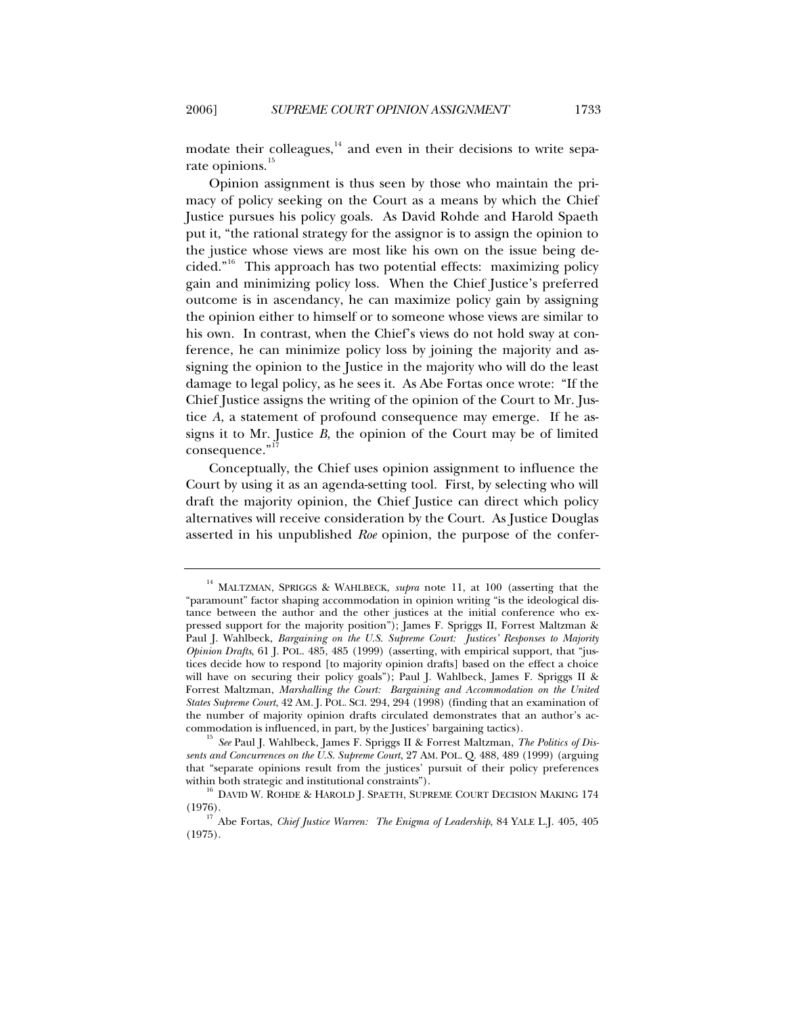modate their colleagues, $14$  and even in their decisions to write separate opinions.<sup>1</sup>

Opinion assignment is thus seen by those who maintain the primacy of policy seeking on the Court as a means by which the Chief Justice pursues his policy goals. As David Rohde and Harold Spaeth put it, "the rational strategy for the assignor is to assign the opinion to the justice whose views are most like his own on the issue being decided."[16](#page-4-2) This approach has two potential effects: maximizing policy gain and minimizing policy loss. When the Chief Justice's preferred outcome is in ascendancy, he can maximize policy gain by assigning the opinion either to himself or to someone whose views are similar to his own. In contrast, when the Chief's views do not hold sway at conference, he can minimize policy loss by joining the majority and assigning the opinion to the Justice in the majority who will do the least damage to legal policy, as he sees it. As Abe Fortas once wrote: "If the Chief Justice assigns the writing of the opinion of the Court to Mr. Justice *A*, a statement of profound consequence may emerge. If he assigns it to Mr. Justice *B*, the opinion of the Court may be of limited consequence."

Conceptually, the Chief uses opinion assignment to influence the Court by using it as an agenda-setting tool. First, by selecting who will draft the majority opinion, the Chief Justice can direct which policy alternatives will receive consideration by the Court. As Justice Douglas asserted in his unpublished *Roe* opinion, the purpose of the confer-

<span id="page-4-0"></span><sup>14</sup> MALTZMAN, SPRIGGS & WAHLBECK, *supra* note 11, at 100 (asserting that the "paramount" factor shaping accommodation in opinion writing "is the ideological distance between the author and the other justices at the initial conference who expressed support for the majority position"); James F. Spriggs II, Forrest Maltzman & Paul J. Wahlbeck, *Bargaining on the U.S. Supreme Court: Justices' Responses to Majority Opinion Drafts*, 61 J. POL. 485, 485 (1999) (asserting, with empirical support, that "justices decide how to respond [to majority opinion drafts] based on the effect a choice will have on securing their policy goals"); Paul J. Wahlbeck, James F. Spriggs II & Forrest Maltzman, *Marshalling the Court: Bargaining and Accommodation on the United States Supreme Court*, 42 AM. J. POL. SCI. 294, 294 (1998) (finding that an examination of the number of majority opinion drafts circulated demonstrates that an author's accommodation is influenced, in part, by the Justices' bargaining tactics).

<span id="page-4-1"></span><sup>&</sup>lt;sup>15</sup> See Paul J. Wahlbeck, James F. Spriggs II & Forrest Maltzman, *The Politics of Dissents and Concurrences on the U.S. Supreme Court*, 27 AM. POL. Q. 488, 489 (1999) (arguing that "separate opinions result from the justices' pursuit of their policy preferences within both strategic and institutional constraints").  $^{16}$  DAVID W. ROHDE & HAROLD J. SPAETH, SUPREME COURT DECISION MAKING 174

<span id="page-4-2"></span>

<span id="page-4-3"></span><sup>(1976). 17</sup> Abe Fortas, *Chief Justice Warren: The Enigma of Leadership*, 84 YALE L.J. 405, 405 (1975).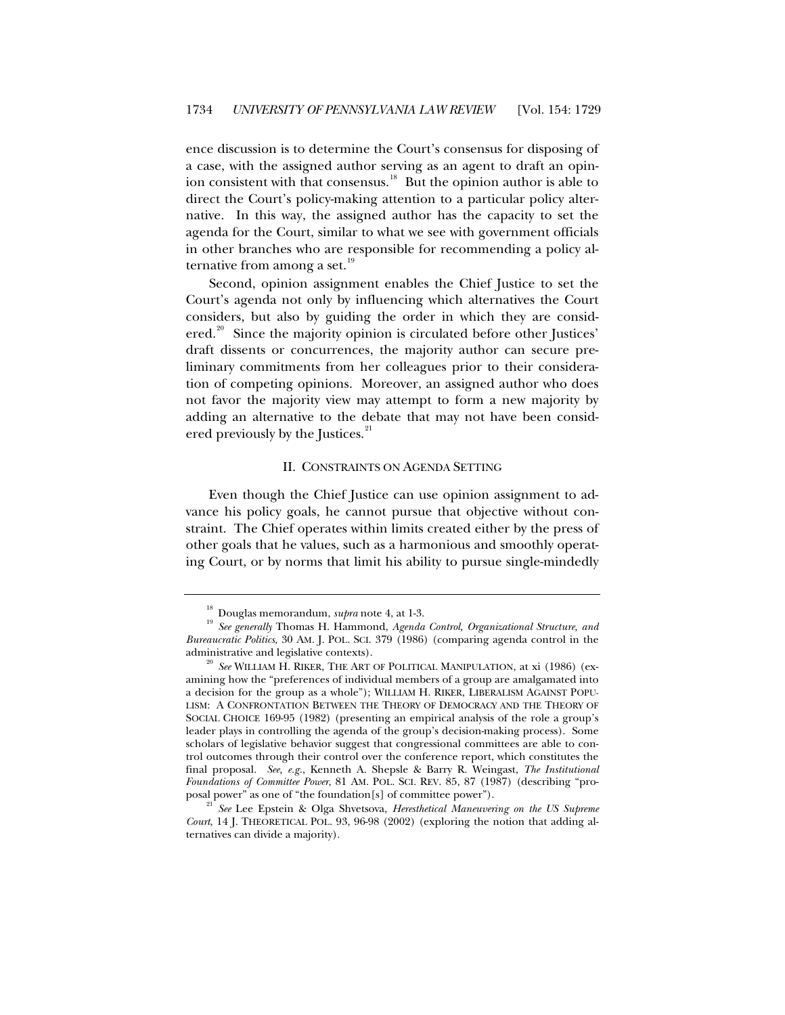ence discussion is to determine the Court's consensus for disposing of a case, with the assigned author serving as an agent to draft an opin-ion consistent with that consensus.<sup>[18](#page-5-0)</sup> But the opinion author is able to direct the Court's policy-making attention to a particular policy alternative. In this way, the assigned author has the capacity to set the agenda for the Court, similar to what we see with government officials in other branches who are responsible for recommending a policy al-ternative from among a set.<sup>[19](#page-5-1)</sup>

Second, opinion assignment enables the Chief Justice to set the Court's agenda not only by influencing which alternatives the Court considers, but also by guiding the order in which they are consid-ered.<sup>[20](#page-5-2)</sup> Since the majority opinion is circulated before other Justices' draft dissents or concurrences, the majority author can secure preliminary commitments from her colleagues prior to their consideration of competing opinions. Moreover, an assigned author who does not favor the majority view may attempt to form a new majority by adding an alternative to the debate that may not have been consid-ered previously by the Justices.<sup>[21](#page-5-3)</sup>

#### II. CONSTRAINTS ON AGENDA SETTING

Even though the Chief Justice can use opinion assignment to advance his policy goals, he cannot pursue that objective without constraint. The Chief operates within limits created either by the press of other goals that he values, such as a harmonious and smoothly operating Court, or by norms that limit his ability to pursue single-mindedly

<span id="page-5-1"></span><span id="page-5-0"></span><sup>&</sup>lt;sup>18</sup> Douglas memorandum, *supra* note 4, at 1-3.<br><sup>19</sup> *See generally* Thomas H. Hammond, *Agenda Control, Organizational Structure, and Bureaucratic Politics*, 30 AM. J. POL. SCI. 379 (1986) (comparing agenda control in the administrative and legislative contexts). 20 *See* WILLIAM H. RIKER, THE ART OF POLITICAL MANIPULATION, at xi (1986) (ex-

<span id="page-5-2"></span>amining how the "preferences of individual members of a group are amalgamated into a decision for the group as a whole"); WILLIAM H. RIKER, LIBERALISM AGAINST POPU-LISM: A CONFRONTATION BETWEEN THE THEORY OF DEMOCRACY AND THE THEORY OF SOCIAL CHOICE 169-95 (1982) (presenting an empirical analysis of the role a group's leader plays in controlling the agenda of the group's decision-making process). Some scholars of legislative behavior suggest that congressional committees are able to control outcomes through their control over the conference report, which constitutes the final proposal. *See, e.g.*, Kenneth A. Shepsle & Barry R. Weingast, *The Institutional Foundations of Committee Power*, 81 AM. POL. SCI. REV. 85, 87 (1987) (describing "pro-

<span id="page-5-3"></span>See Lee Epstein & Olga Shvetsova, *Heresthetical Maneuvering on the US Supreme Court*, 14 J. THEORETICAL POL. 93, 96-98 (2002) (exploring the notion that adding alternatives can divide a majority).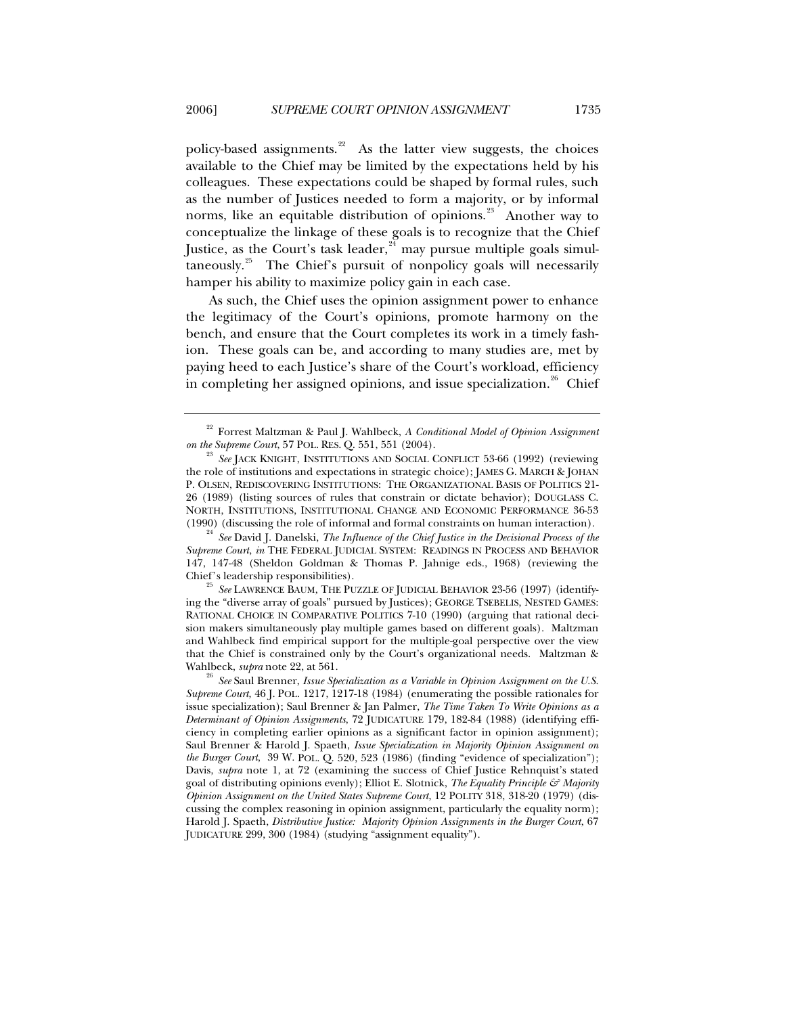policy-based assignments.<sup>[22](#page-6-0)</sup> As the latter view suggests, the choices available to the Chief may be limited by the expectations held by his colleagues. These expectations could be shaped by formal rules, such as the number of Justices needed to form a majority, or by informal norms, like an equitable distribution of opinions.<sup>[23](#page-6-1)</sup> Another way to conceptualize the linkage of these goals is to recognize that the Chief Justice, as the Court's task leader,<sup>[24](#page-6-2)</sup> may pursue multiple goals simul $t$ aneously.<sup>[25](#page-6-3)</sup> The Chief's pursuit of nonpolicy goals will necessarily hamper his ability to maximize policy gain in each case.

As such, the Chief uses the opinion assignment power to enhance the legitimacy of the Court's opinions, promote harmony on the bench, and ensure that the Court completes its work in a timely fashion. These goals can be, and according to many studies are, met by paying heed to each Justice's share of the Court's workload, efficiency in completing her assigned opinions, and issue specialization.<sup>[26](#page-6-4)</sup> Chief

<span id="page-6-2"></span>(1990) (discussing the role of informal and formal constraints on human interaction). 24 *See* David J. Danelski, *The Influence of the Chief Justice in the Decisional Process of the Supreme Court*, *in* THE FEDERAL JUDICIAL SYSTEM: READINGS IN PROCESS AND BEHAVIOR 147, 147-48 (Sheldon Goldman & Thomas P. Jahnige eds., 1968) (reviewing the Chief's leadership responsibilities). 25 *See* LAWRENCE BAUM, THE PUZZLE OF JUDICIAL BEHAVIOR 23-56 (1997) (identify-

<span id="page-6-3"></span>ing the "diverse array of goals" pursued by Justices); GEORGE TSEBELIS, NESTED GAMES: RATIONAL CHOICE IN COMPARATIVE POLITICS 7-10 (1990) (arguing that rational decision makers simultaneously play multiple games based on different goals). Maltzman and Wahlbeck find empirical support for the multiple-goal perspective over the view that the Chief is constrained only by the Court's organizational needs. Maltzman & Wahlbeck, *supra* note 22, at 561.<br><sup>26</sup> *See* Saul Brenner, *Issue Specialization as a Variable in Opinion Assignment on the U.S.* 

<span id="page-6-0"></span><sup>&</sup>lt;sup>22</sup> Forrest Maltzman & Paul J. Wahlbeck, *A Conditional Model of Opinion Assignment on the Supreme Court*, 57 POL. RES. Q. 551, 551 (2004).

<span id="page-6-1"></span><sup>&</sup>lt;sup>23</sup> See JACK KNIGHT, INSTITUTIONS AND SOCIAL CONFLICT 53-66 (1992) (reviewing the role of institutions and expectations in strategic choice); JAMES G. MARCH & JOHAN P. OLSEN, REDISCOVERING INSTITUTIONS: THE ORGANIZATIONAL BASIS OF POLITICS 21- 26 (1989) (listing sources of rules that constrain or dictate behavior); DOUGLASS C. NORTH, INSTITUTIONS, INSTITUTIONAL CHANGE AND ECONOMIC PERFORMANCE 36-53

<span id="page-6-4"></span>*Supreme Court*, 46 J. POL. 1217, 1217-18 (1984) (enumerating the possible rationales for issue specialization); Saul Brenner & Jan Palmer, *The Time Taken To Write Opinions as a Determinant of Opinion Assignments*, 72 JUDICATURE 179, 182-84 (1988) (identifying efficiency in completing earlier opinions as a significant factor in opinion assignment); Saul Brenner & Harold J. Spaeth, *Issue Specialization in Majority Opinion Assignment on the Burger Court*, 39 W. POL. Q. 520, 523 (1986) (finding "evidence of specialization"); Davis, *supra* note 1, at 72 (examining the success of Chief Justice Rehnquist's stated goal of distributing opinions evenly); Elliot E. Slotnick, *The Equality Principle & Majority Opinion Assignment on the United States Supreme Court*, 12 POLITY 318, 318-20 (1979) (discussing the complex reasoning in opinion assignment, particularly the equality norm); Harold J. Spaeth, *Distributive Justice: Majority Opinion Assignments in the Burger Court*, 67 JUDICATURE 299, 300 (1984) (studying "assignment equality").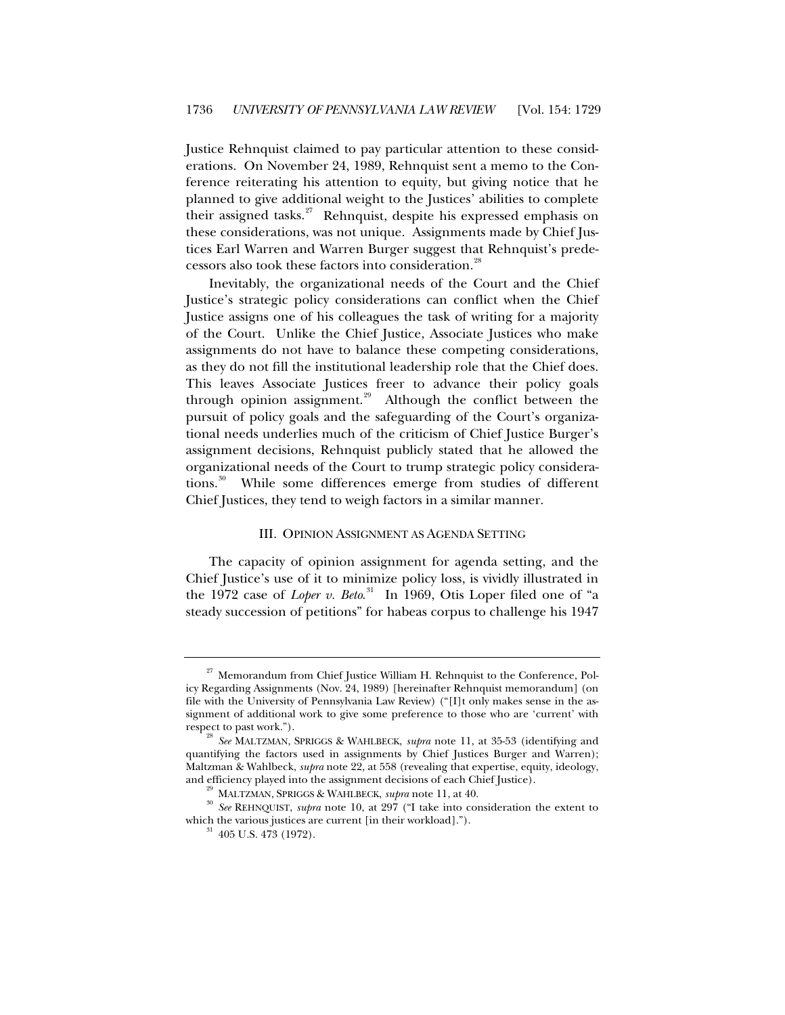Justice Rehnquist claimed to pay particular attention to these considerations. On November 24, 1989, Rehnquist sent a memo to the Conference reiterating his attention to equity, but giving notice that he planned to give additional weight to the Justices' abilities to complete their assigned tasks.<sup>[27](#page-7-0)</sup> Rehnquist, despite his expressed emphasis on these considerations, was not unique. Assignments made by Chief Justices Earl Warren and Warren Burger suggest that Rehnquist's prede-cessors also took these factors into consideration.<sup>[28](#page-7-1)</sup>

Inevitably, the organizational needs of the Court and the Chief Justice's strategic policy considerations can conflict when the Chief Justice assigns one of his colleagues the task of writing for a majority of the Court. Unlike the Chief Justice, Associate Justices who make assignments do not have to balance these competing considerations, as they do not fill the institutional leadership role that the Chief does. This leaves Associate Justices freer to advance their policy goals through opinion assignment.<sup>[29](#page-7-2)</sup> Although the conflict between the pursuit of policy goals and the safeguarding of the Court's organizational needs underlies much of the criticism of Chief Justice Burger's assignment decisions, Rehnquist publicly stated that he allowed the organizational needs of the Court to trump strategic policy considera-tions.<sup>[30](#page-7-3)</sup> While some differences emerge from studies of different Chief Justices, they tend to weigh factors in a similar manner.

## III. OPINION ASSIGNMENT AS AGENDA SETTING

The capacity of opinion assignment for agenda setting, and the Chief Justice's use of it to minimize policy loss, is vividly illustrated in the 1972 case of *Loper v. Beto*. [31](#page-7-4) In 1969, Otis Loper filed one of "a steady succession of petitions" for habeas corpus to challenge his 1947

<span id="page-7-0"></span> $27$  Memorandum from Chief Justice William H. Rehnquist to the Conference, Policy Regarding Assignments (Nov. 24, 1989) [hereinafter Rehnquist memorandum] (on file with the University of Pennsylvania Law Review) ("[I]t only makes sense in the assignment of additional work to give some preference to those who are 'current' with

<span id="page-7-1"></span>respect to past work."). 28 *See* MALTZMAN, SPRIGGS & WAHLBECK, *supra* note 11, at 35-53 (identifying and quantifying the factors used in assignments by Chief Justices Burger and Warren); Maltzman & Wahlbeck, *supra* note 22, at 558 (revealing that expertise, equity, ideology,

<span id="page-7-4"></span><span id="page-7-3"></span><span id="page-7-2"></span>and efficiency played into the assignment decisions of each Chief Justice).<br><sup>29</sup> MALTZMAN, SPRIGGS & WAHLBECK, *supra* note 11, at 40.<br><sup>30</sup> See REHNQUIST, *supra* note 10, at 297 ("I take into consideration the extent to which the various justices are current [in their workload].").  $31\quad 405$  U.S. 473 (1972).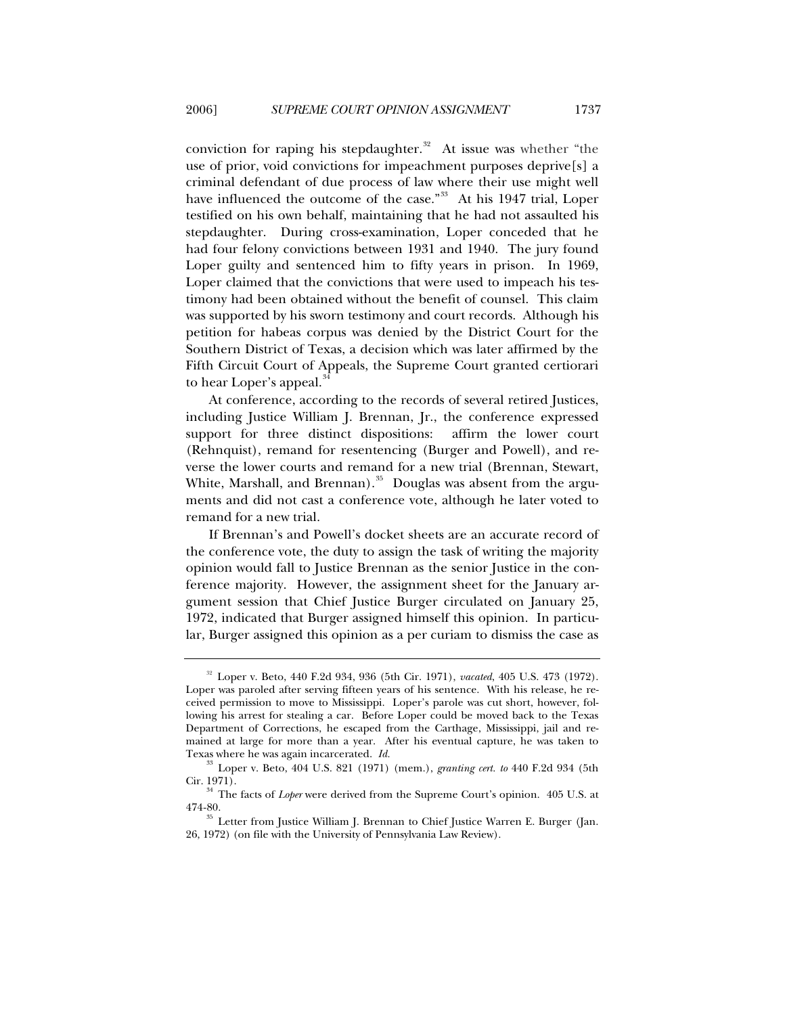conviction for raping his stepdaughter. $32$  At issue was whether "the use of prior, void convictions for impeachment purposes deprive[s] a criminal defendant of due process of law where their use might well have influenced the outcome of the case."<sup>[33](#page-8-1)</sup> At his 1947 trial, Loper testified on his own behalf, maintaining that he had not assaulted his stepdaughter. During cross-examination, Loper conceded that he had four felony convictions between 1931 and 1940. The jury found Loper guilty and sentenced him to fifty years in prison. In 1969, Loper claimed that the convictions that were used to impeach his testimony had been obtained without the benefit of counsel. This claim was supported by his sworn testimony and court records. Although his petition for habeas corpus was denied by the District Court for the Southern District of Texas, a decision which was later affirmed by the Fifth Circuit Court of Appeals, the Supreme Court granted certiorari to hear Loper's appeal.<sup>[34](#page-8-2)</sup>

At conference, according to the records of several retired Justices, including Justice William J. Brennan, Jr., the conference expressed support for three distinct dispositions: affirm the lower court (Rehnquist), remand for resentencing (Burger and Powell), and reverse the lower courts and remand for a new trial (Brennan, Stewart, White, Marshall, and Brennan). $35$  Douglas was absent from the arguments and did not cast a conference vote, although he later voted to remand for a new trial.

If Brennan's and Powell's docket sheets are an accurate record of the conference vote, the duty to assign the task of writing the majority opinion would fall to Justice Brennan as the senior Justice in the conference majority. However, the assignment sheet for the January argument session that Chief Justice Burger circulated on January 25, 1972, indicated that Burger assigned himself this opinion. In particular, Burger assigned this opinion as a per curiam to dismiss the case as

<span id="page-8-0"></span><sup>32</sup> Loper v. Beto, 440 F.2d 934, 936 (5th Cir. 1971), *vacated*, 405 U.S. 473 (1972). Loper was paroled after serving fifteen years of his sentence. With his release, he received permission to move to Mississippi. Loper's parole was cut short, however, following his arrest for stealing a car. Before Loper could be moved back to the Texas Department of Corrections, he escaped from the Carthage, Mississippi, jail and remained at large for more than a year. After his eventual capture, he was taken to

<span id="page-8-1"></span>Texas where he was again incarcerated. *Id.* <sup>33</sup> Loper v. Beto, 404 U.S. 821 (1971) (mem.), *granting cert. to* 440 F.2d 934 (5th

<span id="page-8-2"></span>Cir. 1971). 34 The facts of *Loper* were derived from the Supreme Court's opinion. 405 U.S. at

<span id="page-8-3"></span><sup>474-80.</sup>  $\frac{35}{35}$  Letter from Justice William J. Brennan to Chief Justice Warren E. Burger (Jan. 26, 1972) (on file with the University of Pennsylvania Law Review).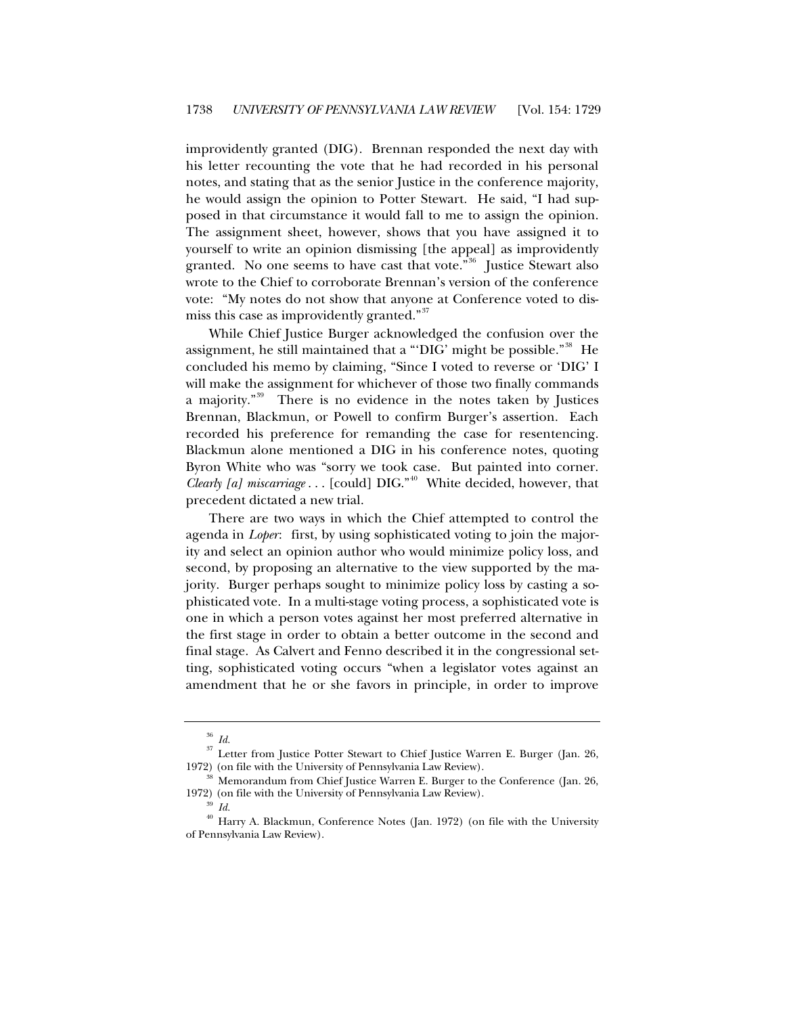improvidently granted (DIG). Brennan responded the next day with his letter recounting the vote that he had recorded in his personal notes, and stating that as the senior Justice in the conference majority, he would assign the opinion to Potter Stewart. He said, "I had supposed in that circumstance it would fall to me to assign the opinion. The assignment sheet, however, shows that you have assigned it to yourself to write an opinion dismissing [the appeal] as improvidently granted. No one seems to have cast that vote."<sup>[36](#page-9-0)</sup> Justice Stewart also wrote to the Chief to corroborate Brennan's version of the conference vote: "My notes do not show that anyone at Conference voted to dis-miss this case as improvidently granted."<sup>[37](#page-9-1)</sup>

While Chief Justice Burger acknowledged the confusion over the assignment, he still maintained that a "DIG' might be possible."<sup>[38](#page-9-2)</sup> He concluded his memo by claiming, "Since I voted to reverse or 'DIG' I will make the assignment for whichever of those two finally commands a majority."<sup>[39](#page-9-3)</sup> There is no evidence in the notes taken by Justices Brennan, Blackmun, or Powell to confirm Burger's assertion. Each recorded his preference for remanding the case for resentencing. Blackmun alone mentioned a DIG in his conference notes, quoting Byron White who was "sorry we took case. But painted into corner. *Clearly [a] miscarriage* . . . [could] DIG."[40](#page-9-4) White decided, however, that precedent dictated a new trial.

There are two ways in which the Chief attempted to control the agenda in *Loper*: first, by using sophisticated voting to join the majority and select an opinion author who would minimize policy loss, and second, by proposing an alternative to the view supported by the majority. Burger perhaps sought to minimize policy loss by casting a sophisticated vote. In a multi-stage voting process, a sophisticated vote is one in which a person votes against her most preferred alternative in the first stage in order to obtain a better outcome in the second and final stage. As Calvert and Fenno described it in the congressional setting, sophisticated voting occurs "when a legislator votes against an amendment that he or she favors in principle, in order to improve

<span id="page-9-1"></span><span id="page-9-0"></span><sup>&</sup>lt;sup>36</sup> *Id.* <sup>37</sup> Letter from Justice Potter Stewart to Chief Justice Warren E. Burger (Jan. 26, 1972) (on file with the University of Pennsylvania Law Review).

 $38$  Memorandum from Chief Justice Warren E. Burger to the Conference (Jan. 26,

<span id="page-9-4"></span><span id="page-9-3"></span><span id="page-9-2"></span><sup>1972) (</sup>on file with the University of Pennsylvania Law Review).  $\frac{39}{16}$  *Id.*  $\frac{40}{14}$  Harry A. Blackmun, Conference Notes (Jan. 1972) (on file with the University of Pennsylvania Law Review).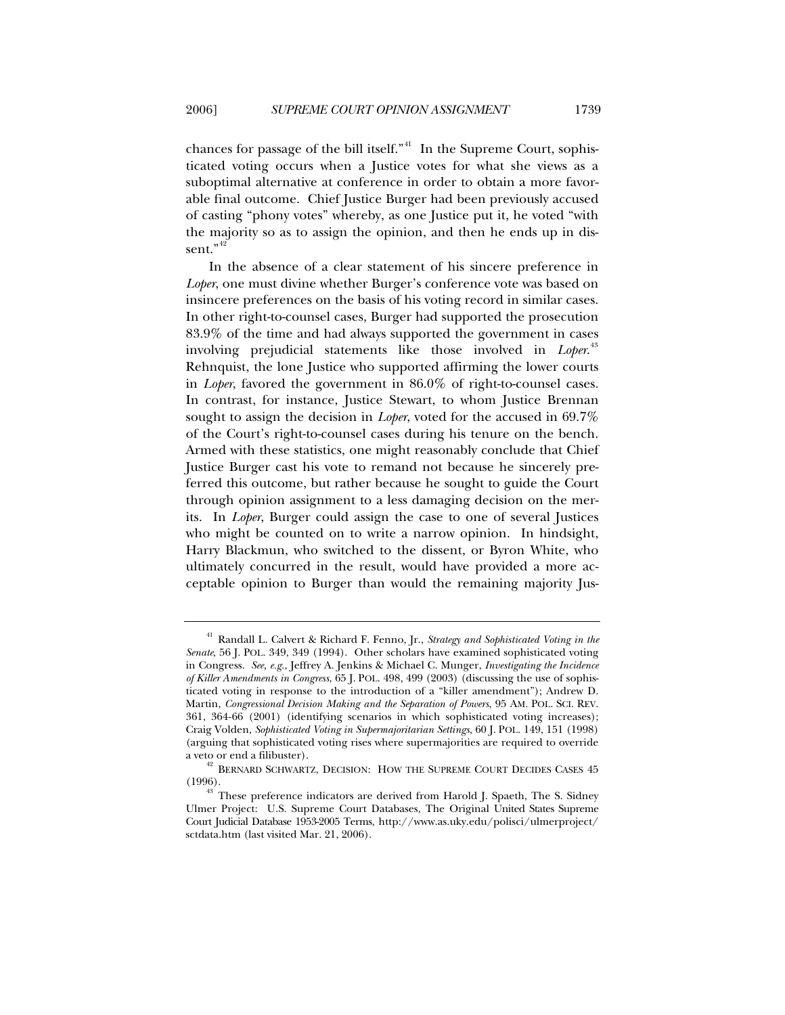chances for passage of the bill itself."<sup>[41](#page-10-0)</sup> In the Supreme Court, sophisticated voting occurs when a Justice votes for what she views as a suboptimal alternative at conference in order to obtain a more favorable final outcome. Chief Justice Burger had been previously accused of casting "phony votes" whereby, as one Justice put it, he voted "with the majority so as to assign the opinion, and then he ends up in dis-sent."<sup>[42](#page-10-1)</sup>

In the absence of a clear statement of his sincere preference in *Loper*, one must divine whether Burger's conference vote was based on insincere preferences on the basis of his voting record in similar cases. In other right-to-counsel cases, Burger had supported the prosecution 83.9% of the time and had always supported the government in cases involving prejudicial statements like those involved in *Loper*. [43](#page-10-2) Rehnquist, the lone Justice who supported affirming the lower courts in *Loper*, favored the government in 86.0% of right-to-counsel cases. In contrast, for instance, Justice Stewart, to whom Justice Brennan sought to assign the decision in *Loper*, voted for the accused in 69.7% of the Court's right-to-counsel cases during his tenure on the bench. Armed with these statistics, one might reasonably conclude that Chief Justice Burger cast his vote to remand not because he sincerely preferred this outcome, but rather because he sought to guide the Court through opinion assignment to a less damaging decision on the merits. In *Loper*, Burger could assign the case to one of several Justices who might be counted on to write a narrow opinion. In hindsight, Harry Blackmun, who switched to the dissent, or Byron White, who ultimately concurred in the result, would have provided a more acceptable opinion to Burger than would the remaining majority Jus-

<span id="page-10-0"></span><sup>41</sup> Randall L. Calvert & Richard F. Fenno, Jr., *Strategy and Sophisticated Voting in the Senate*, 56 J. POL. 349, 349 (1994). Other scholars have examined sophisticated voting in Congress. *See, e.g.*, Jeffrey A. Jenkins & Michael C. Munger, *Investigating the Incidence of Killer Amendments in Congress*, 65 J. POL. 498, 499 (2003) (discussing the use of sophisticated voting in response to the introduction of a "killer amendment"); Andrew D. Martin, *Congressional Decision Making and the Separation of Powers*, 95 AM. POL. SCI. REV. 361, 364-66 (2001) (identifying scenarios in which sophisticated voting increases); Craig Volden, *Sophisticated Voting in Supermajoritarian Settings*, 60 J. POL. 149, 151 (1998) (arguing that sophisticated voting rises where supermajorities are required to override

<span id="page-10-1"></span> $^{42}$  BERNARD SCHWARTZ, DECISION: HOW THE SUPREME COURT DECIDES CASES 45 (1996).

<span id="page-10-2"></span>These preference indicators are derived from Harold J. Spaeth, The S. Sidney Ulmer Project: U.S. Supreme Court Databases, The Original United States Supreme Court Judicial Database 1953-2005 Terms, http://www.as.uky.edu/polisci/ulmerproject/ sctdata.htm (last visited Mar. 21, 2006).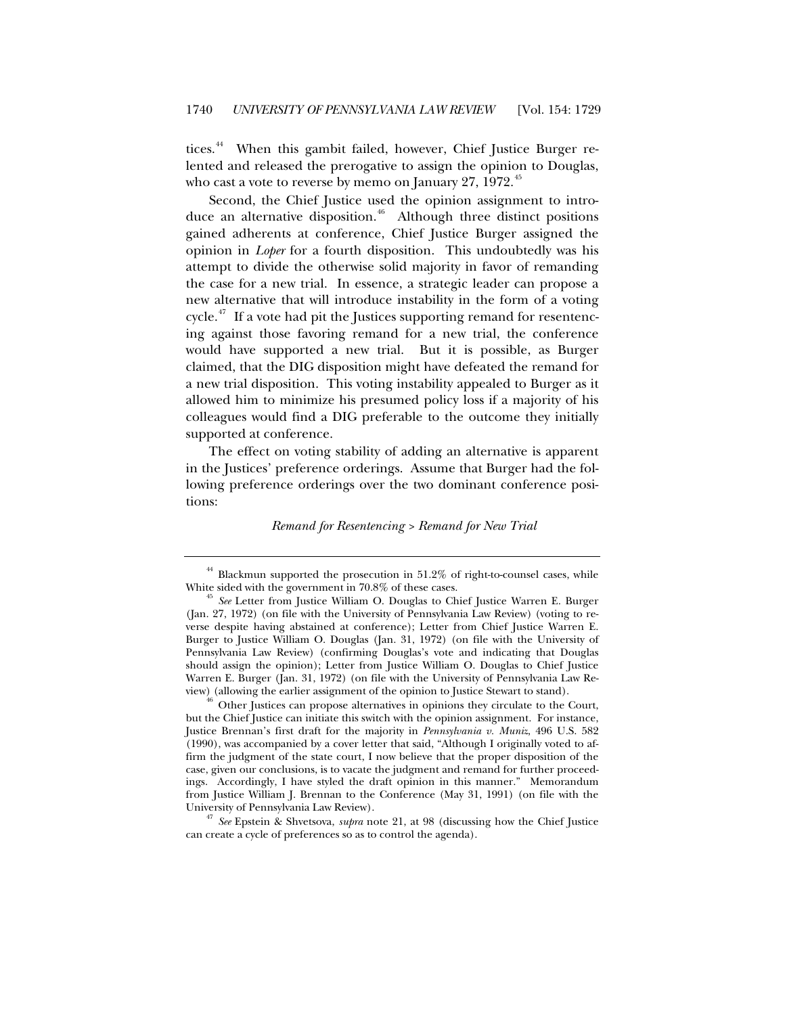tices.<sup>[44](#page-11-0)</sup> When this gambit failed, however, Chief Justice Burger relented and released the prerogative to assign the opinion to Douglas, who cast a vote to reverse by memo on January  $27, 1972$ <sup>[45](#page-11-1)</sup>

Second, the Chief Justice used the opinion assignment to intro-duce an alternative disposition.<sup>[46](#page-11-2)</sup> Although three distinct positions gained adherents at conference, Chief Justice Burger assigned the opinion in *Loper* for a fourth disposition. This undoubtedly was his attempt to divide the otherwise solid majority in favor of remanding the case for a new trial. In essence, a strategic leader can propose a new alternative that will introduce instability in the form of a voting cycle. $47$  If a vote had pit the Justices supporting remand for resentencing against those favoring remand for a new trial, the conference would have supported a new trial. But it is possible, as Burger claimed, that the DIG disposition might have defeated the remand for a new trial disposition. This voting instability appealed to Burger as it allowed him to minimize his presumed policy loss if a majority of his colleagues would find a DIG preferable to the outcome they initially supported at conference.

The effect on voting stability of adding an alternative is apparent in the Justices' preference orderings. Assume that Burger had the following preference orderings over the two dominant conference positions:

#### *Remand for Resentencing > Remand for New Trial*

<span id="page-11-2"></span>view) (allowing the earlier assignment of the opinion to Justice Stewart to stand). 46 Other Justices can propose alternatives in opinions they circulate to the Court, but the Chief Justice can initiate this switch with the opinion assignment. For instance, Justice Brennan's first draft for the majority in *Pennsylvania v. Muniz*, 496 U.S. 582 (1990), was accompanied by a cover letter that said, "Although I originally voted to affirm the judgment of the state court, I now believe that the proper disposition of the case, given our conclusions, is to vacate the judgment and remand for further proceedings. Accordingly, I have styled the draft opinion in this manner." Memorandum from Justice William J. Brennan to the Conference (May 31, 1991) (on file with the University of Pennsylvania Law Review). 47 *See* Epstein & Shvetsova, *supra* note 21, at 98 (discussing how the Chief Justice

<span id="page-11-3"></span>can create a cycle of preferences so as to control the agenda).

 $44$  Blackmun supported the prosecution in  $51.2\%$  of right-to-counsel cases, while

<span id="page-11-1"></span><span id="page-11-0"></span>White sided with the government in 70.8% of these cases. 45 *See* Letter from Justice William O. Douglas to Chief Justice Warren E. Burger (Jan. 27, 1972) (on file with the University of Pennsylvania Law Review) (voting to reverse despite having abstained at conference); Letter from Chief Justice Warren E. Burger to Justice William O. Douglas (Jan. 31, 1972) (on file with the University of Pennsylvania Law Review) (confirming Douglas's vote and indicating that Douglas should assign the opinion); Letter from Justice William O. Douglas to Chief Justice Warren E. Burger (Jan. 31, 1972) (on file with the University of Pennsylvania Law Re-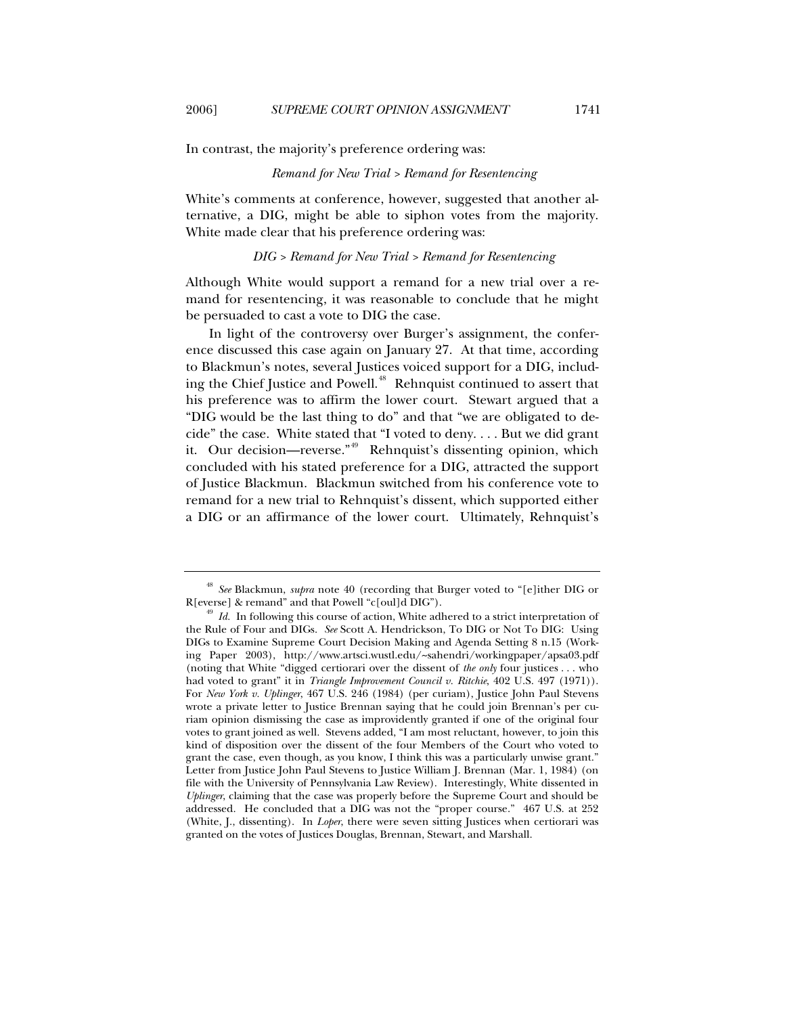In contrast, the majority's preference ordering was:

## *Remand for New Trial > Remand for Resentencing*

White's comments at conference, however, suggested that another alternative, a DIG, might be able to siphon votes from the majority. White made clear that his preference ordering was:

## *DIG > Remand for New Trial > Remand for Resentencing*

Although White would support a remand for a new trial over a remand for resentencing, it was reasonable to conclude that he might be persuaded to cast a vote to DIG the case.

In light of the controversy over Burger's assignment, the conference discussed this case again on January 27. At that time, according to Blackmun's notes, several Justices voiced support for a DIG, includ-ing the Chief Justice and Powell.<sup>[48](#page-12-0)</sup> Rehnquist continued to assert that his preference was to affirm the lower court. Stewart argued that a "DIG would be the last thing to do" and that "we are obligated to decide" the case. White stated that "I voted to deny. . . . But we did grant it. Our decision—reverse."<sup>[49](#page-12-1)</sup> Rehnquist's dissenting opinion, which concluded with his stated preference for a DIG, attracted the support of Justice Blackmun. Blackmun switched from his conference vote to remand for a new trial to Rehnquist's dissent, which supported either a DIG or an affirmance of the lower court. Ultimately, Rehnquist's

<span id="page-12-0"></span><sup>&</sup>lt;sup>48</sup> *See* Blackmun, *supra* note 40 (recording that Burger voted to "[e]ither DIG or R[everse] & remand" and that Powell "c[oul]d DIG").

<span id="page-12-1"></span><sup>&</sup>lt;sup>49</sup> *Id.* In following this course of action, White adhered to a strict interpretation of the Rule of Four and DIGs. *See* Scott A. Hendrickson, To DIG or Not To DIG: Using DIGs to Examine Supreme Court Decision Making and Agenda Setting 8 n.15 (Working Paper 2003), http://www.artsci.wustl.edu/~sahendri/workingpaper/apsa03.pdf (noting that White "digged certiorari over the dissent of *the only* four justices . . . who had voted to grant" it in *Triangle Improvement Council v. Ritchie*, 402 U.S. 497 (1971)). For *New York v. Uplinger*, 467 U.S. 246 (1984) (per curiam), Justice John Paul Stevens wrote a private letter to Justice Brennan saying that he could join Brennan's per curiam opinion dismissing the case as improvidently granted if one of the original four votes to grant joined as well. Stevens added, "I am most reluctant, however, to join this kind of disposition over the dissent of the four Members of the Court who voted to grant the case, even though, as you know, I think this was a particularly unwise grant." Letter from Justice John Paul Stevens to Justice William J. Brennan (Mar. 1, 1984) (on file with the University of Pennsylvania Law Review). Interestingly, White dissented in *Uplinger*, claiming that the case was properly before the Supreme Court and should be addressed. He concluded that a DIG was not the "proper course." 467 U.S. at 252 (White, J., dissenting). In *Loper*, there were seven sitting Justices when certiorari was granted on the votes of Justices Douglas, Brennan, Stewart, and Marshall.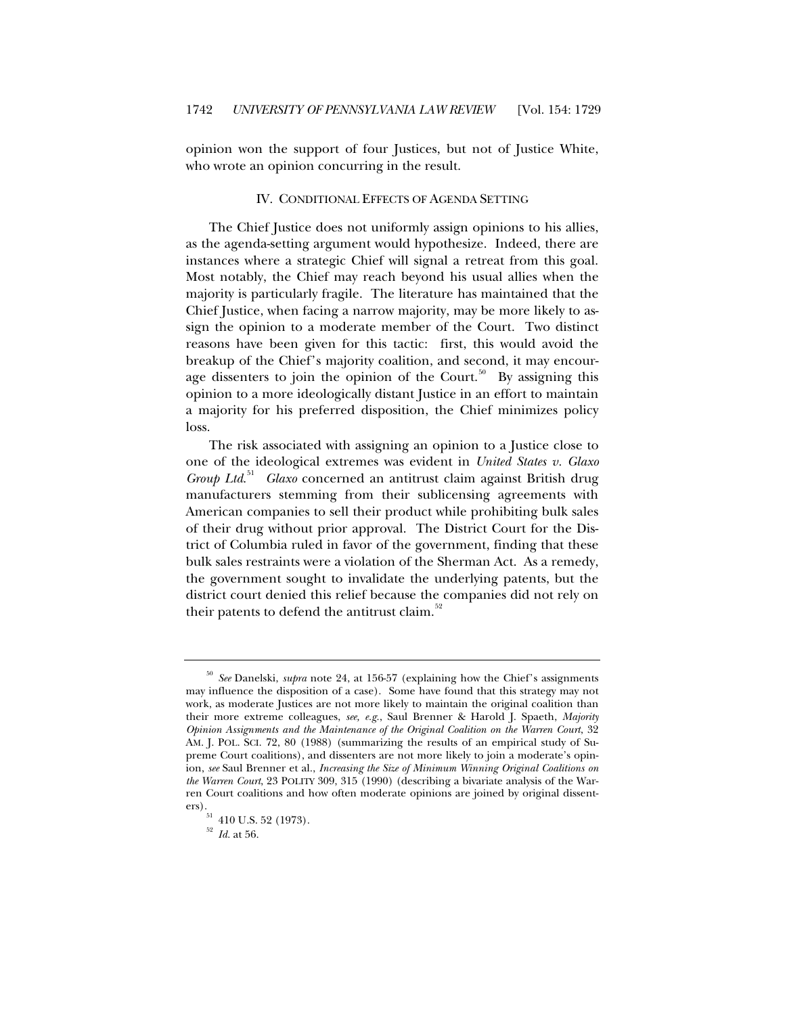opinion won the support of four Justices, but not of Justice White, who wrote an opinion concurring in the result.

### IV. CONDITIONAL EFFECTS OF AGENDA SETTING

The Chief Justice does not uniformly assign opinions to his allies, as the agenda-setting argument would hypothesize. Indeed, there are instances where a strategic Chief will signal a retreat from this goal. Most notably, the Chief may reach beyond his usual allies when the majority is particularly fragile. The literature has maintained that the Chief Justice, when facing a narrow majority, may be more likely to assign the opinion to a moderate member of the Court. Two distinct reasons have been given for this tactic: first, this would avoid the breakup of the Chief's majority coalition, and second, it may encour-age dissenters to join the opinion of the Court.<sup>[50](#page-13-0)</sup> By assigning this opinion to a more ideologically distant Justice in an effort to maintain a majority for his preferred disposition, the Chief minimizes policy loss.

The risk associated with assigning an opinion to a Justice close to one of the ideological extremes was evident in *United States v. Glaxo*  Group Ltd.<sup>[51](#page-13-1)</sup> Glaxo concerned an antitrust claim against British drug manufacturers stemming from their sublicensing agreements with American companies to sell their product while prohibiting bulk sales of their drug without prior approval. The District Court for the District of Columbia ruled in favor of the government, finding that these bulk sales restraints were a violation of the Sherman Act. As a remedy, the government sought to invalidate the underlying patents, but the district court denied this relief because the companies did not rely on their patents to defend the antitrust claim.<sup>[52](#page-13-2)</sup>

<span id="page-13-0"></span><sup>50</sup> *See* Danelski, *supra* note 24, at 156-57 (explaining how the Chief's assignments may influence the disposition of a case). Some have found that this strategy may not work, as moderate Justices are not more likely to maintain the original coalition than their more extreme colleagues, *see, e.g.*, Saul Brenner & Harold J. Spaeth, *Majority Opinion Assignments and the Maintenance of the Original Coalition on the Warren Court*, 32 AM. J. POL. SCI. 72, 80 (1988) (summarizing the results of an empirical study of Supreme Court coalitions), and dissenters are not more likely to join a moderate's opinion, *see* Saul Brenner et al., *Increasing the Size of Minimum Winning Original Coalitions on the Warren Court*, 23 POLITY 309, 315 (1990) (describing a bivariate analysis of the Warren Court coalitions and how often moderate opinions are joined by original dissenters). 51 410 U.S. 52 (1973). 52 *Id.* at 56.

<span id="page-13-2"></span><span id="page-13-1"></span>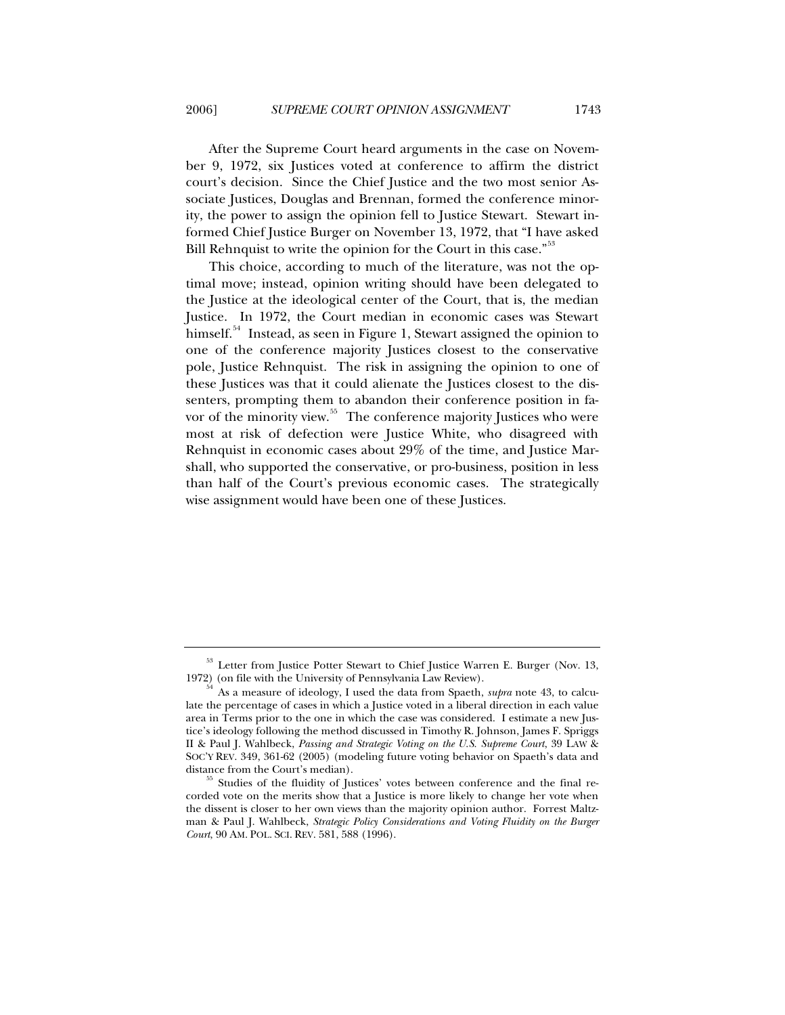After the Supreme Court heard arguments in the case on November 9, 1972, six Justices voted at conference to affirm the district court's decision. Since the Chief Justice and the two most senior Associate Justices, Douglas and Brennan, formed the conference minority, the power to assign the opinion fell to Justice Stewart. Stewart informed Chief Justice Burger on November 13, 1972, that "I have asked Bill Rehnquist to write the opinion for the Court in this case."<sup>[53](#page-14-0)</sup>

This choice, according to much of the literature, was not the optimal move; instead, opinion writing should have been delegated to the Justice at the ideological center of the Court, that is, the median Justice. In 1972, the Court median in economic cases was Stewart himself.<sup>[54](#page-14-1)</sup> Instead, as seen in Figure 1, Stewart assigned the opinion to one of the conference majority Justices closest to the conservative pole, Justice Rehnquist. The risk in assigning the opinion to one of these Justices was that it could alienate the Justices closest to the dissenters, prompting them to abandon their conference position in fa-vor of the minority view.<sup>[55](#page-14-2)</sup> The conference majority Justices who were most at risk of defection were Justice White, who disagreed with Rehnquist in economic cases about 29% of the time, and Justice Marshall, who supported the conservative, or pro-business, position in less than half of the Court's previous economic cases. The strategically wise assignment would have been one of these Justices.

<span id="page-14-0"></span> $^{53}$  Letter from Justice Potter Stewart to Chief Justice Warren E. Burger (Nov. 13, 1972) (on file with the University of Pennsylvania Law Review).

<span id="page-14-1"></span>As a measure of ideology, I used the data from Spaeth, *supra* note 43, to calculate the percentage of cases in which a Justice voted in a liberal direction in each value area in Terms prior to the one in which the case was considered. I estimate a new Justice's ideology following the method discussed in Timothy R. Johnson, James F. Spriggs II & Paul J. Wahlbeck, *Passing and Strategic Voting on the U.S. Supreme Court*, 39 LAW & SOC'Y REV. 349, 361-62 (2005) (modeling future voting behavior on Spaeth's data and

<span id="page-14-2"></span>distance from the Court's median). 55 Studies of the fluidity of Justices' votes between conference and the final recorded vote on the merits show that a Justice is more likely to change her vote when the dissent is closer to her own views than the majority opinion author. Forrest Maltzman & Paul J. Wahlbeck, *Strategic Policy Considerations and Voting Fluidity on the Burger Court*, 90 AM. POL. SCI. REV. 581, 588 (1996).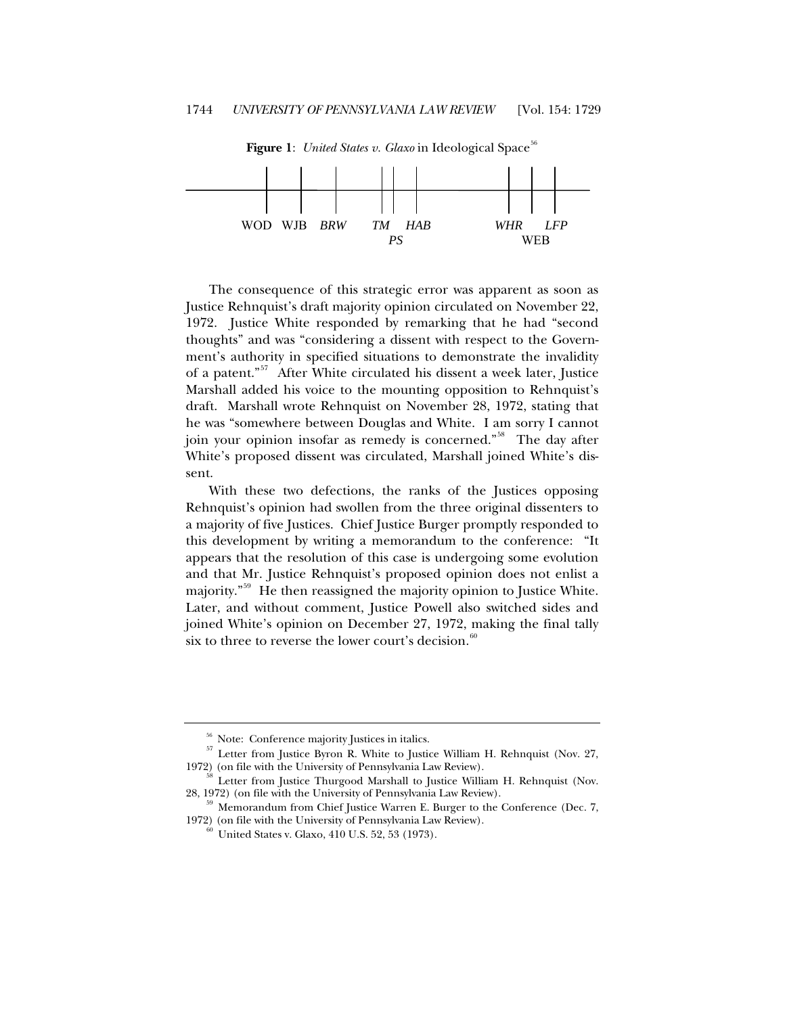

**Figure 1**: *United States v. Glaxo* in Ideological Space<sup>[56](#page-15-0)</sup>

The consequence of this strategic error was apparent as soon as Justice Rehnquist's draft majority opinion circulated on November 22, 1972. Justice White responded by remarking that he had "second thoughts" and was "considering a dissent with respect to the Government's authority in specified situations to demonstrate the invalidity of a patent."<sup>[57](#page-15-1)</sup> After White circulated his dissent a week later, Justice Marshall added his voice to the mounting opposition to Rehnquist's draft. Marshall wrote Rehnquist on November 28, 1972, stating that he was "somewhere between Douglas and White. I am sorry I cannot join your opinion insofar as remedy is concerned."<sup>[58](#page-15-2)</sup> The day after White's proposed dissent was circulated, Marshall joined White's dissent.

With these two defections, the ranks of the Justices opposing Rehnquist's opinion had swollen from the three original dissenters to a majority of five Justices. Chief Justice Burger promptly responded to this development by writing a memorandum to the conference: "It appears that the resolution of this case is undergoing some evolution and that Mr. Justice Rehnquist's proposed opinion does not enlist a majority.<sup>"[59](#page-15-3)</sup> He then reassigned the majority opinion to Justice White. Later, and without comment, Justice Powell also switched sides and joined White's opinion on December 27, 1972, making the final tally six to three to reverse the lower court's decision. $60$ 

<span id="page-15-1"></span><span id="page-15-0"></span><sup>&</sup>lt;sup>56</sup> Note: Conference majority Justices in italics.<br><sup>57</sup> Letter from Justice Byron R. White to Justice William H. Rehnquist (Nov. 27, 1972) (on file with the University of Pennsylvania Law Review).

<span id="page-15-2"></span><sup>&</sup>lt;sup>58</sup> Letter from Justice Thurgood Marshall to Justice William H. Rehnquist (Nov. 28, 1972) (on file with the University of Pennsylvania Law Review).

<span id="page-15-4"></span><span id="page-15-3"></span>Memorandum from Chief Justice Warren E. Burger to the Conference (Dec. 7, 1972) (on file with the University of Pennsylvania Law Review).<br><sup>60</sup> United States v. Glaxo, 410 U.S. 52, 53 (1973).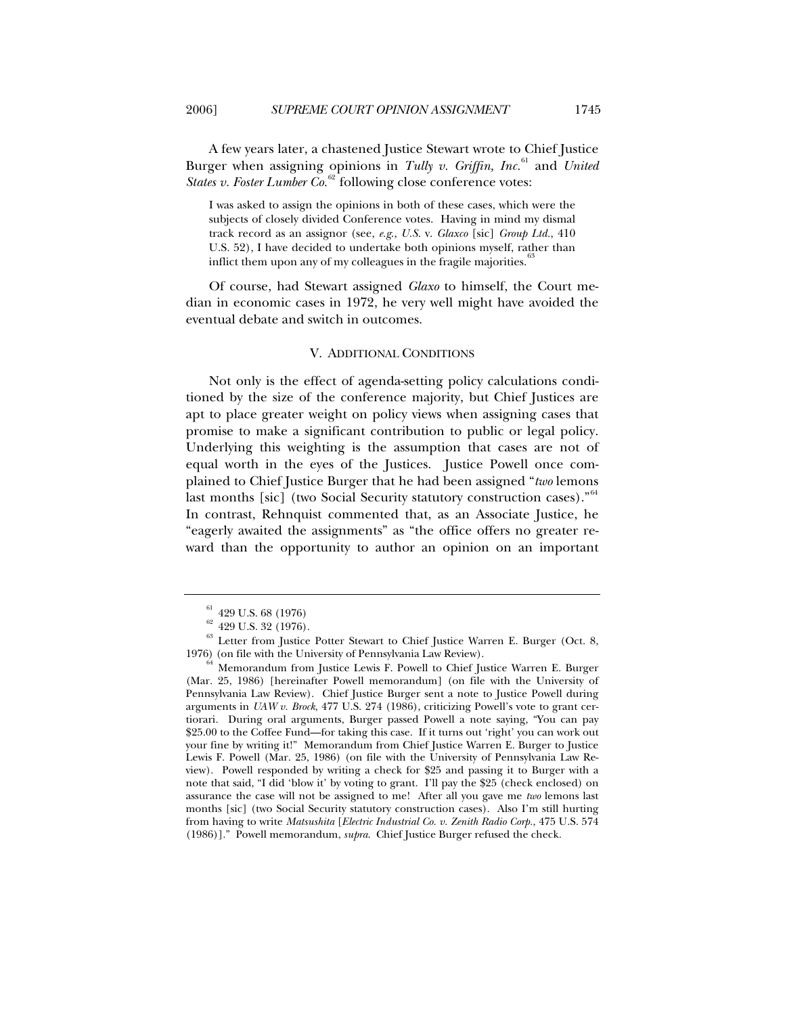I was asked to assign the opinions in both of these cases, which were the subjects of closely divided Conference votes. Having in mind my dismal track record as an assignor (see, *e.g*., *U.S.* v. *Glaxco* [sic] *Group Ltd.*, 410 U.S. 52), I have decided to undertake both opinions myself, rather than inflict them upon any of my colleagues in the fragile majorities.<sup>33</sup>

Of course, had Stewart assigned *Glaxo* to himself, the Court median in economic cases in 1972, he very well might have avoided the eventual debate and switch in outcomes.

# V. ADDITIONAL CONDITIONS

Not only is the effect of agenda-setting policy calculations conditioned by the size of the conference majority, but Chief Justices are apt to place greater weight on policy views when assigning cases that promise to make a significant contribution to public or legal policy. Underlying this weighting is the assumption that cases are not of equal worth in the eyes of the Justices. Justice Powell once complained to Chief Justice Burger that he had been assigned "*two* lemons last months [sic] (two Social Security statutory construction cases)."<sup>[64](#page-16-3)</sup> In contrast, Rehnquist commented that, as an Associate Justice, he "eagerly awaited the assignments" as "the office offers no greater reward than the opportunity to author an opinion on an important

<span id="page-16-1"></span><span id="page-16-0"></span><sup>&</sup>lt;sup>61</sup> 429 U.S. 68 (1976)<br><sup>62</sup> 429 U.S. 32 (1976).<br><sup>63</sup> Letter from Justice Potter Stewart to Chief Justice Warren E. Burger (Oct. 8, 1976) (on file with the University of Pennsylvania Law Review).

<span id="page-16-3"></span><span id="page-16-2"></span> $^{64}$  Memorandum from Justice Lewis F. Powell to Chief Justice Warren E. Burger (Mar. 25, 1986) [hereinafter Powell memorandum] (on file with the University of Pennsylvania Law Review). Chief Justice Burger sent a note to Justice Powell during arguments in *UAW v. Brock*, 477 U.S. 274 (1986), criticizing Powell's vote to grant certiorari. During oral arguments, Burger passed Powell a note saying, "You can pay \$25.00 to the Coffee Fund—for taking this case. If it turns out 'right' you can work out your fine by writing it!" Memorandum from Chief Justice Warren E. Burger to Justice Lewis F. Powell (Mar. 25, 1986) (on file with the University of Pennsylvania Law Review). Powell responded by writing a check for \$25 and passing it to Burger with a note that said, "I did 'blow it' by voting to grant. I'll pay the \$25 (check enclosed) on assurance the case will not be assigned to me! After all you gave me *two* lemons last months [sic] (two Social Security statutory construction cases). Also I'm still hurting from having to write *Matsushita* [*Electric Industrial Co. v. Zenith Radio Corp.*, 475 U.S. 574 (1986)]." Powell memorandum, *supra*. Chief Justice Burger refused the check.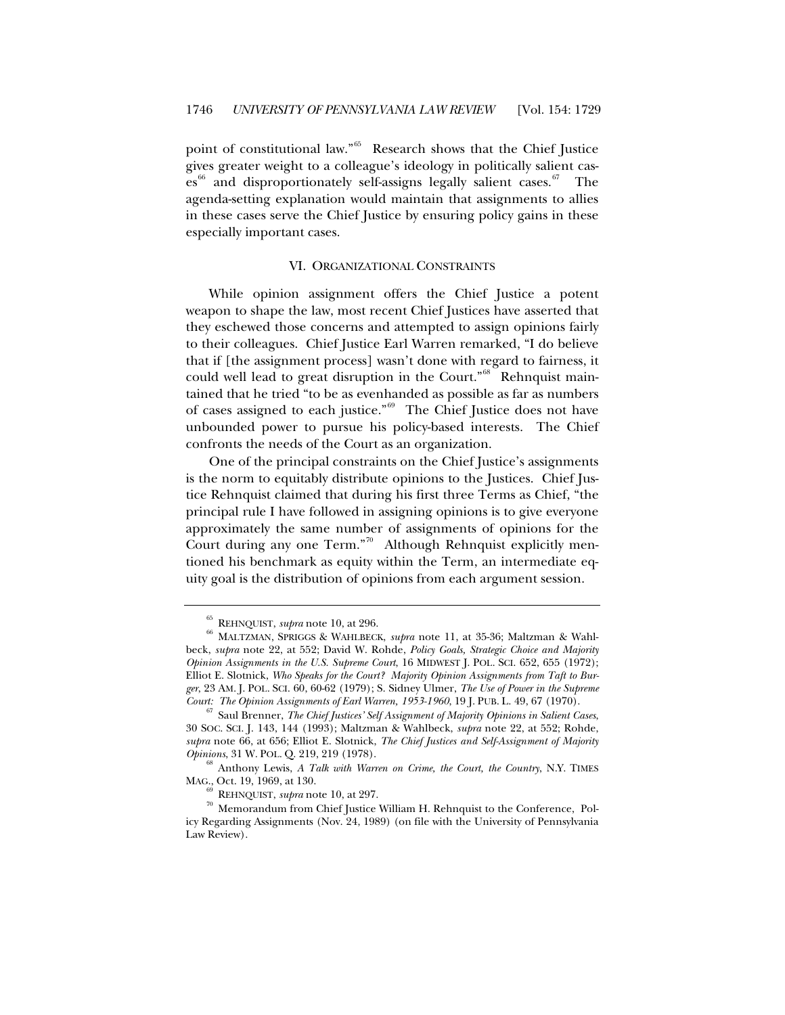point of constitutional law."<sup>[65](#page-17-0)</sup> Research shows that the Chief Justice gives greater weight to a colleague's ideology in politically salient cas-es<sup>[66](#page-17-1)</sup> and disproportionately self-assigns legally salient cases.<sup>[67](#page-17-2)</sup> The agenda-setting explanation would maintain that assignments to allies in these cases serve the Chief Justice by ensuring policy gains in these especially important cases.

## VI. ORGANIZATIONAL CONSTRAINTS

While opinion assignment offers the Chief Justice a potent weapon to shape the law, most recent Chief Justices have asserted that they eschewed those concerns and attempted to assign opinions fairly to their colleagues. Chief Justice Earl Warren remarked, "I do believe that if [the assignment process] wasn't done with regard to fairness, it could well lead to great disruption in the Court."<sup>[68](#page-17-3)</sup> Rehnquist maintained that he tried "to be as evenhanded as possible as far as numbers of cases assigned to each justice."<sup>[69](#page-17-4)</sup> The Chief Justice does not have unbounded power to pursue his policy-based interests. The Chief confronts the needs of the Court as an organization.

One of the principal constraints on the Chief Justice's assignments is the norm to equitably distribute opinions to the Justices. Chief Justice Rehnquist claimed that during his first three Terms as Chief, "the principal rule I have followed in assigning opinions is to give everyone approximately the same number of assignments of opinions for the Court during any one Term."<sup>[70](#page-17-5)</sup> Although Rehnquist explicitly mentioned his benchmark as equity within the Term, an intermediate equity goal is the distribution of opinions from each argument session.

<span id="page-17-1"></span><span id="page-17-0"></span> $^{65}$ REHNQUIST, *supra* note 10, at 296. 66 MALTZMAN, SPRIGGS & WAHLBECK, *supra* note 11, at 35-36; Maltzman & Wahlbeck, *supra* note 22, at 552; David W. Rohde, *Policy Goals, Strategic Choice and Majority Opinion Assignments in the U.S. Supreme Court*, 16 MIDWEST J. POL. SCI. 652, 655 (1972); Elliot E. Slotnick, *Who Speaks for the Court? Majority Opinion Assignments from Taft to Burger*, 23 AM. J. POL. SCI. 60, 60-62 (1979); S. Sidney Ulmer, *The Use of Power in the Supreme* 

<span id="page-17-2"></span> $^{67}$  Saul Brenner, *The Chief Justices' Self Assignment of Majority Opinions in Salient Cases*, 30 SOC. SCI. J. 143, 144 (1993); Maltzman & Wahlbeck, *supra* note 22, at 552; Rohde, *supra* note 66, at 656; Elliot E. Slotnick, *The Chief Justices and Self-Assignment of Majority Opinions*, 31 W. POL. Q. 219, 219 (1978). 68 Anthony Lewis, *A Talk with Warren on Crime, the Court, the Country*, N.Y. TIMES

<span id="page-17-3"></span>MAG., Oct. 19, 1969, at 130.

<span id="page-17-5"></span><span id="page-17-4"></span><sup>&</sup>lt;sup>69</sup> REHNQUIST, *supra* note 10, at 297.<br><sup>70</sup> Memorandum from Chief Justice William H. Rehnquist to the Conference, Policy Regarding Assignments (Nov. 24, 1989) (on file with the University of Pennsylvania Law Review).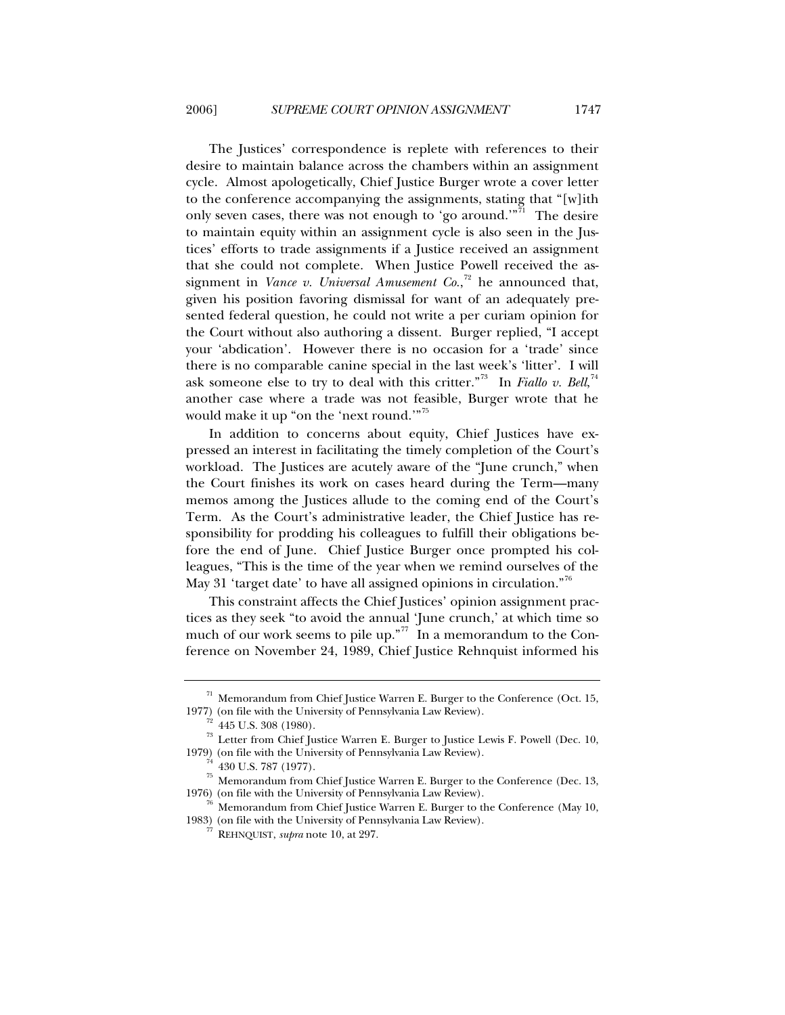The Justices' correspondence is replete with references to their desire to maintain balance across the chambers within an assignment cycle. Almost apologetically, Chief Justice Burger wrote a cover letter to the conference accompanying the assignments, stating that "[w]ith only seven cases, there was not enough to 'go around.'"<sup>[71](#page-18-0)</sup> The desire to maintain equity within an assignment cycle is also seen in the Justices' efforts to trade assignments if a Justice received an assignment that she could not complete. When Justice Powell received the assignment in *Vance v. Universal Amusement Co.*, [72](#page-18-1) he announced that, given his position favoring dismissal for want of an adequately presented federal question, he could not write a per curiam opinion for the Court without also authoring a dissent. Burger replied, "I accept your 'abdication'. However there is no occasion for a 'trade' since there is no comparable canine special in the last week's 'litter'. I will ask someone else to try to deal with this critter."<sup>[73](#page-18-2)</sup> In *Fiallo v. Bell*,<sup>[74](#page-18-3)</sup> another case where a trade was not feasible, Burger wrote that he would make it up "on the 'next round.'"<sup>[75](#page-18-4)</sup>

In addition to concerns about equity, Chief Justices have expressed an interest in facilitating the timely completion of the Court's workload. The Justices are acutely aware of the "June crunch," when the Court finishes its work on cases heard during the Term—many memos among the Justices allude to the coming end of the Court's Term. As the Court's administrative leader, the Chief Justice has responsibility for prodding his colleagues to fulfill their obligations before the end of June. Chief Justice Burger once prompted his colleagues, "This is the time of the year when we remind ourselves of the May 31 'target date' to have all assigned opinions in circulation."<sup>[76](#page-18-5)</sup>

This constraint affects the Chief Justices' opinion assignment practices as they seek "to avoid the annual 'June crunch,' at which time so much of our work seems to pile up."<sup>[77](#page-18-6)</sup> In a memorandum to the Conference on November 24, 1989, Chief Justice Rehnquist informed his

 $^{\rm 71}$  Memorandum from Chief Justice Warren E. Burger to the Conference (Oct. 15,

<span id="page-18-2"></span><span id="page-18-1"></span><span id="page-18-0"></span><sup>1977) (</sup>on file with the University of Pennsylvania Law Review).<br><sup>72</sup> 445 U.S. 308 (1980).<br><sup>73</sup> Letter from Chief Justice Warren E. Burger to Justice Lewis F. Powell (Dec. 10, 1979) (on file with the University of Pennsylvania Law Review).<br><sup>74</sup> 430 U.S. 787 (1977).

<span id="page-18-4"></span><span id="page-18-3"></span><sup>&</sup>lt;sup>75</sup> Memorandum from Chief Justice Warren E. Burger to the Conference (Dec. 13, 1976) (on file with the University of Pennsylvania Law Review).

<span id="page-18-6"></span><span id="page-18-5"></span>Memorandum from Chief Justice Warren E. Burger to the Conference (May 10, 1983) (on file with the University of Pennsylvania Law Review). 77 REHNQUIST, *supra* note 10, at 297.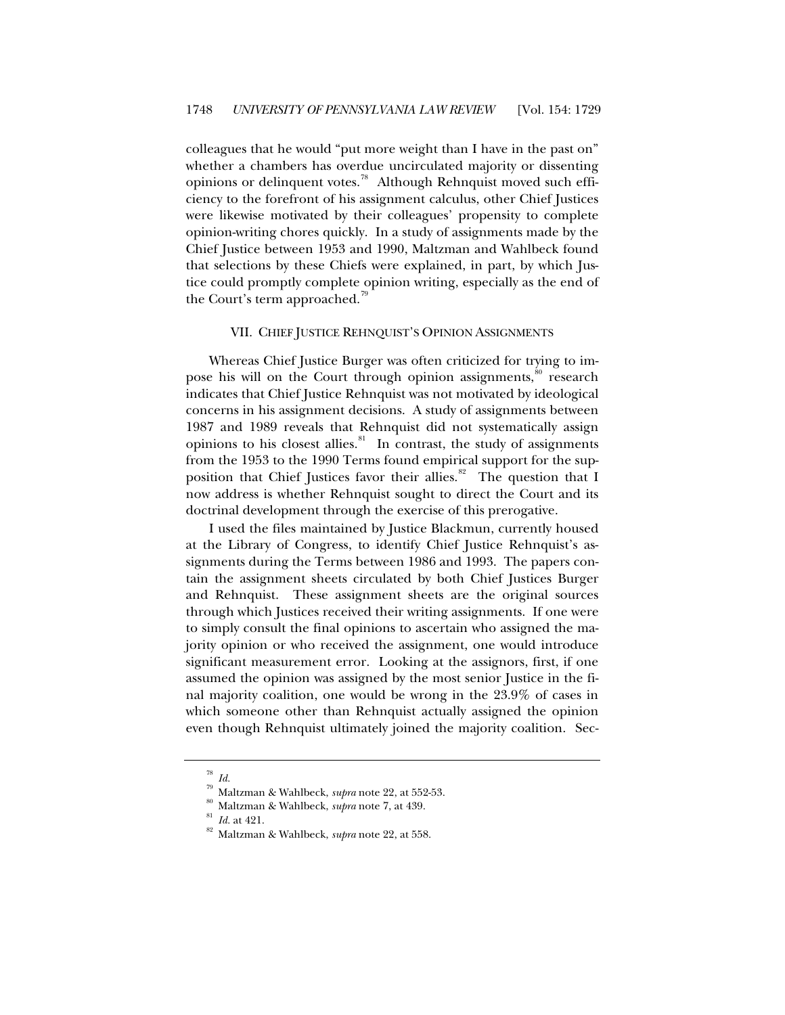colleagues that he would "put more weight than I have in the past on" whether a chambers has overdue uncirculated majority or dissenting opinions or delinquent votes.<sup>[78](#page-19-0)</sup> Although Rehnquist moved such efficiency to the forefront of his assignment calculus, other Chief Justices were likewise motivated by their colleagues' propensity to complete opinion-writing chores quickly. In a study of assignments made by the Chief Justice between 1953 and 1990, Maltzman and Wahlbeck found that selections by these Chiefs were explained, in part, by which Justice could promptly complete opinion writing, especially as the end of the Court's term approached.<sup>19</sup>

## VII. CHIEF JUSTICE REHNQUIST'S OPINION ASSIGNMENTS

Whereas Chief Justice Burger was often criticized for trying to im-pose his will on the Court through opinion assignments,<sup>[80](#page-19-2)</sup> research indicates that Chief Justice Rehnquist was not motivated by ideological concerns in his assignment decisions. A study of assignments between 1987 and 1989 reveals that Rehnquist did not systematically assign opinions to his closest allies.<sup>[81](#page-19-3)</sup> In contrast, the study of assignments from the 1953 to the 1990 Terms found empirical support for the supposition that Chief Justices favor their allies. $82$  The question that I now address is whether Rehnquist sought to direct the Court and its doctrinal development through the exercise of this prerogative.

I used the files maintained by Justice Blackmun, currently housed at the Library of Congress, to identify Chief Justice Rehnquist's assignments during the Terms between 1986 and 1993. The papers contain the assignment sheets circulated by both Chief Justices Burger and Rehnquist. These assignment sheets are the original sources through which Justices received their writing assignments. If one were to simply consult the final opinions to ascertain who assigned the majority opinion or who received the assignment, one would introduce significant measurement error. Looking at the assignors, first, if one assumed the opinion was assigned by the most senior Justice in the final majority coalition, one would be wrong in the 23.9% of cases in which someone other than Rehnquist actually assigned the opinion even though Rehnquist ultimately joined the majority coalition. Sec-

<span id="page-19-1"></span><span id="page-19-0"></span><sup>78</sup> *Id.* <sup>79</sup> Maltzman & Wahlbeck, *supra* note 22, at 552-53. 80 Maltzman & Wahlbeck, *supra* note 7, at 439. 81 *Id.* at 421. 82 Maltzman & Wahlbeck, *supra* note 22, at 558.

<span id="page-19-4"></span><span id="page-19-3"></span><span id="page-19-2"></span>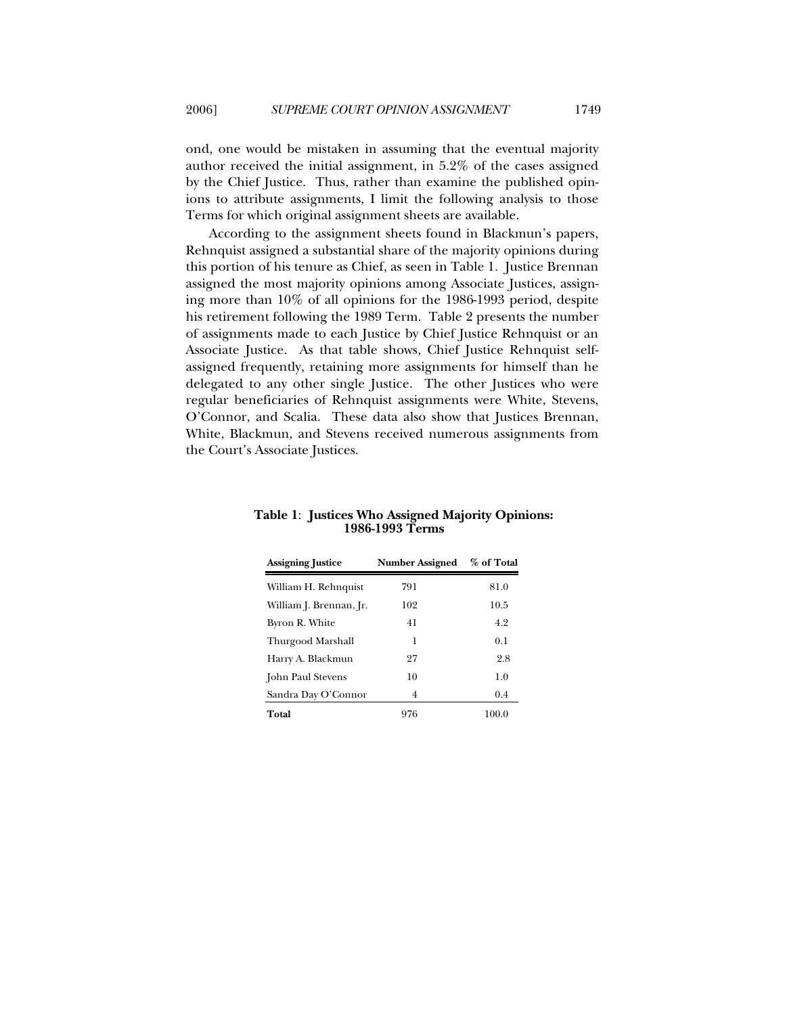ond, one would be mistaken in assuming that the eventual majority author received the initial assignment, in 5.2% of the cases assigned by the Chief Justice. Thus, rather than examine the published opinions to attribute assignments, I limit the following analysis to those Terms for which original assignment sheets are available.

According to the assignment sheets found in Blackmun's papers, Rehnquist assigned a substantial share of the majority opinions during this portion of his tenure as Chief, as seen in Table 1. Justice Brennan assigned the most majority opinions among Associate Justices, assigning more than 10% of all opinions for the 1986-1993 period, despite his retirement following the 1989 Term. Table 2 presents the number of assignments made to each Justice by Chief Justice Rehnquist or an Associate Justice. As that table shows, Chief Justice Rehnquist selfassigned frequently, retaining more assignments for himself than he delegated to any other single Justice. The other Justices who were regular beneficiaries of Rehnquist assignments were White, Stevens, O'Connor, and Scalia. These data also show that Justices Brennan, White, Blackmun, and Stevens received numerous assignments from the Court's Associate Justices.

| <b>Assigning Justice</b> | <b>Number Assigned</b> | % of Total |
|--------------------------|------------------------|------------|
| William H. Rehnquist     | 791                    | 81.0       |
| William J. Brennan, Jr.  | 102                    | 10.5       |
| Byron R. White           | 41                     | 4.2        |
| Thurgood Marshall        | 1                      | 0.1        |
| Harry A. Blackmun        | 27                     | 2.8        |
| John Paul Stevens        | 10                     | 1.0        |
| Sandra Day O'Connor      | 4                      | 0.4        |
| Total                    | 976                    | 100.0      |

**Table 1**: **Justices Who Assigned Majority Opinions: 1986-1993 Terms**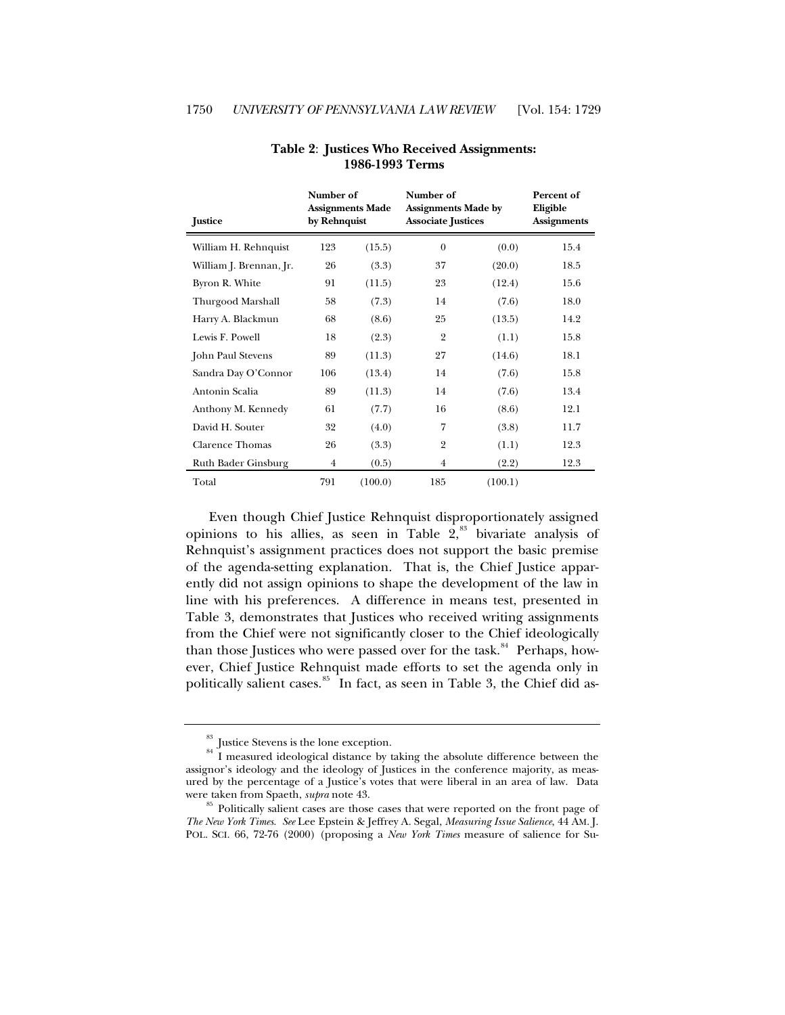| <b>Justice</b>          | Number of<br>by Rehnquist | <b>Assignments Made</b> | Number of<br><b>Assignments Made by</b><br><b>Associate Justices</b> |         | Percent of<br>Eligible<br><b>Assignments</b> |
|-------------------------|---------------------------|-------------------------|----------------------------------------------------------------------|---------|----------------------------------------------|
| William H. Rehnquist    | 123                       | (15.5)                  | $\overline{0}$                                                       | (0.0)   | 15.4                                         |
| William J. Brennan, Jr. | 26                        | (3.3)                   | 37                                                                   | (20.0)  | 18.5                                         |
| Byron R. White          | 91                        | (11.5)                  | 23                                                                   | (12.4)  | 15.6                                         |
| Thurgood Marshall       | 58                        | (7.3)                   | 14                                                                   | (7.6)   | 18.0                                         |
| Harry A. Blackmun       | 68                        | (8.6)                   | 25                                                                   | (13.5)  | 14.2                                         |
| Lewis F. Powell         | 18                        | (2.3)                   | $\overline{2}$                                                       | (1.1)   | 15.8                                         |
| John Paul Stevens       | 89                        | (11.3)                  | 27                                                                   | (14.6)  | 18.1                                         |
| Sandra Day O'Connor     | 106                       | (13.4)                  | 14                                                                   | (7.6)   | 15.8                                         |
| Antonin Scalia          | 89                        | (11.3)                  | 14                                                                   | (7.6)   | 13.4                                         |
| Anthony M. Kennedy      | 61                        | (7.7)                   | 16                                                                   | (8.6)   | 12.1                                         |
| David H. Souter         | 32                        | (4.0)                   | 7                                                                    | (3.8)   | 11.7                                         |
| <b>Clarence Thomas</b>  | 26                        | (3.3)                   | $\overline{2}$                                                       | (1.1)   | 12.3                                         |
| Ruth Bader Ginsburg     | $\overline{4}$            | (0.5)                   | $\overline{4}$                                                       | (2.2)   | 12.3                                         |
| Total                   | 791                       | (100.0)                 | 185                                                                  | (100.1) |                                              |

## **Table 2**: **Justices Who Received Assignments: 1986-1993 Terms**

 Even though Chief Justice Rehnquist disproportionately assigned opinions to his allies, as seen in Table  $2,3$ <sup>[83](#page-21-0)</sup> bivariate analysis of Rehnquist's assignment practices does not support the basic premise of the agenda-setting explanation. That is, the Chief Justice apparently did not assign opinions to shape the development of the law in line with his preferences. A difference in means test, presented in Table 3, demonstrates that Justices who received writing assignments from the Chief were not significantly closer to the Chief ideologically than those Justices who were passed over for the task. $84$  Perhaps, however, Chief Justice Rehnquist made efforts to set the agenda only in politically salient cases.<sup>[85](#page-21-2)</sup> In fact, as seen in Table 3, the Chief did as-

<span id="page-21-1"></span><span id="page-21-0"></span> $^{83}$  Justice Stevens is the lone exception.  $^{84}$  I measured ideological distance by taking the absolute difference between the assignor's ideology and the ideology of Justices in the conference majority, as measured by the percentage of a Justice's votes that were liberal in an area of law. Data were taken from Spaeth, *supra* note 43.<br><sup>85</sup> Politically salient cases are those cases that were reported on the front page of

<span id="page-21-2"></span>*The New York Times*. *See* Lee Epstein & Jeffrey A. Segal, *Measuring Issue Salience*, 44 AM. J. POL. SCI. 66, 72-76 (2000) (proposing a *New York Times* measure of salience for Su-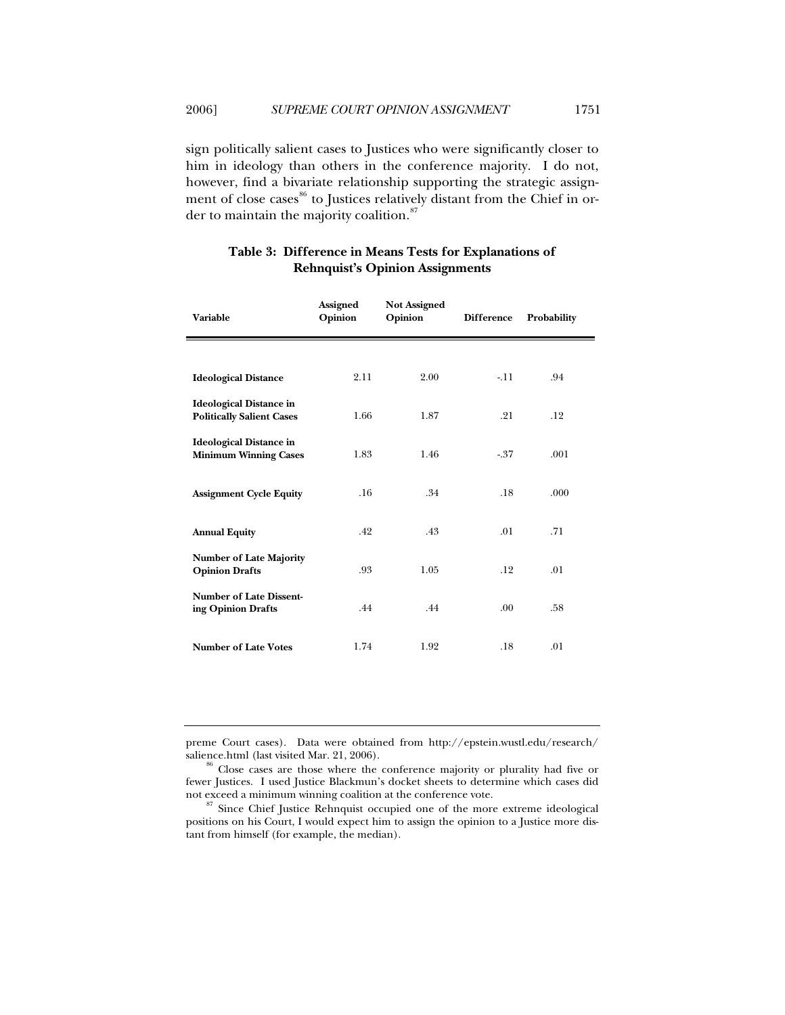sign politically salient cases to Justices who were significantly closer to him in ideology than others in the conference majority. I do not, however, find a bivariate relationship supporting the strategic assign-ment of close cases<sup>[86](#page-22-0)</sup> to Justices relatively distant from the Chief in or-der to maintain the majority coalition.<sup>[87](#page-22-1)</sup>

| <b>Variable</b>                                                    | <b>Assigned</b><br>Opinion | <b>Not Assigned</b><br>Opinion | <b>Difference</b> | Probability |
|--------------------------------------------------------------------|----------------------------|--------------------------------|-------------------|-------------|
|                                                                    |                            |                                |                   |             |
| <b>Ideological Distance</b>                                        | 2.11                       | 2.00                           | $-11$             | .94         |
| <b>Ideological Distance in</b><br><b>Politically Salient Cases</b> | 1.66                       | 1.87                           | .21               | .12         |
| <b>Ideological Distance in</b><br><b>Minimum Winning Cases</b>     | 1.83                       | 1.46                           | $-37$             | .001        |
| <b>Assignment Cycle Equity</b>                                     | .16                        | .34                            | .18               | .000        |
| <b>Annual Equity</b>                                               | .42                        | .43                            | .01               | .71         |
| <b>Number of Late Majority</b><br><b>Opinion Drafts</b>            | .93                        | 1.05                           | .12               | .01         |
| <b>Number of Late Dissent-</b><br>ing Opinion Drafts               | .44                        | .44                            | .00 <sub>1</sub>  | .58         |
| <b>Number of Late Votes</b>                                        | 1.74                       | 1.92                           | .18               | .01         |

# **Table 3: Difference in Means Tests for Explanations of Rehnquist's Opinion Assignments**

preme Court cases). Data were obtained from http://epstein.wustl.edu/research/

<span id="page-22-0"></span> $86$  Close cases are those where the conference majority or plurality had five or fewer Justices. I used Justice Blackmun's docket sheets to determine which cases did

<span id="page-22-1"></span><sup>&</sup>lt;sup>87</sup> Since Chief Justice Rehnquist occupied one of the more extreme ideological positions on his Court, I would expect him to assign the opinion to a Justice more distant from himself (for example, the median).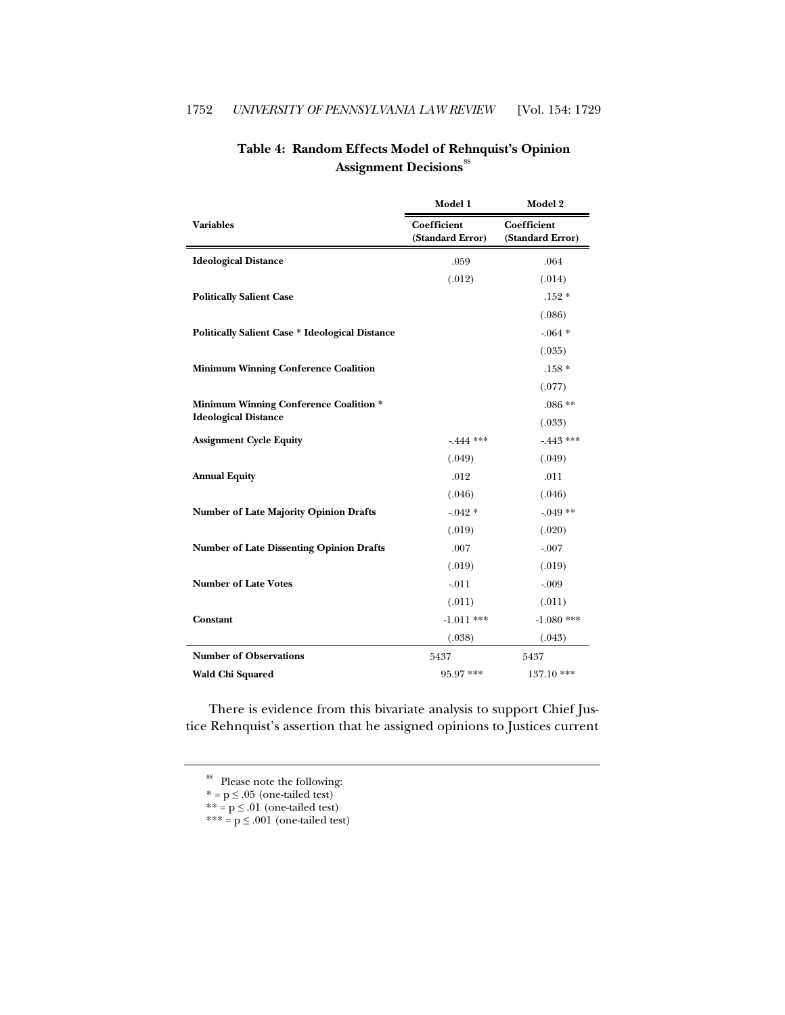|                                                        | Model 1                                | Model 2                                |
|--------------------------------------------------------|----------------------------------------|----------------------------------------|
| <b>Variables</b>                                       | <b>Coefficient</b><br>(Standard Error) | <b>Coefficient</b><br>(Standard Error) |
| <b>Ideological Distance</b>                            | .059                                   | .064                                   |
|                                                        | (.012)                                 | (.014)                                 |
| <b>Politically Salient Case</b>                        |                                        | $.152*$                                |
|                                                        |                                        | (.086)                                 |
| <b>Politically Salient Case * Ideological Distance</b> |                                        | $-064*$                                |
|                                                        |                                        | (.035)                                 |
| <b>Minimum Winning Conference Coalition</b>            |                                        | $.158*$                                |
|                                                        |                                        | (.077)                                 |
| <b>Minimum Winning Conference Coalition *</b>          |                                        | $.086**$                               |
| <b>Ideological Distance</b>                            |                                        | (.033)                                 |
| <b>Assignment Cycle Equity</b>                         | $-444$ ***                             | $-443$ ***                             |
|                                                        | (.049)                                 | (.049)                                 |
| <b>Annual Equity</b>                                   | .012                                   | .011                                   |
|                                                        | (.046)                                 | (.046)                                 |
| <b>Number of Late Majority Opinion Drafts</b>          | $-0.042*$                              | $-0.049**$                             |
|                                                        | (.019)                                 | (.020)                                 |
| <b>Number of Late Dissenting Opinion Drafts</b>        | .007                                   | $-.007$                                |
|                                                        | (.019)                                 | (.019)                                 |
| <b>Number of Late Votes</b>                            | $-.011$                                | $-.009$                                |
|                                                        | (.011)                                 | (.011)                                 |
| Constant                                               | $-1.011$ ***                           | $-1.080$ ***                           |
|                                                        | (.038)                                 | (.043)                                 |
| <b>Number of Observations</b>                          | 5437                                   | 5437                                   |
| Wald Chi Squared                                       | 95.97 ***                              | 137.10 ***                             |

# **Table 4: Random Effects Model of Rehnquist's Opinion**  Assignment Decisions<sup>[88](#page-23-0)</sup>

<span id="page-23-0"></span>There is evidence from this bivariate analysis to support Chief Justice Rehnquist's assertion that he assigned opinions to Justices current

 $** = p \leq .01$  (one-tailed test)

<sup>&</sup>lt;sup>88</sup> Please note the following:

 $* = p \leq .05$  (one-tailed test)

 $*** = p \leq .001$  (one-tailed test)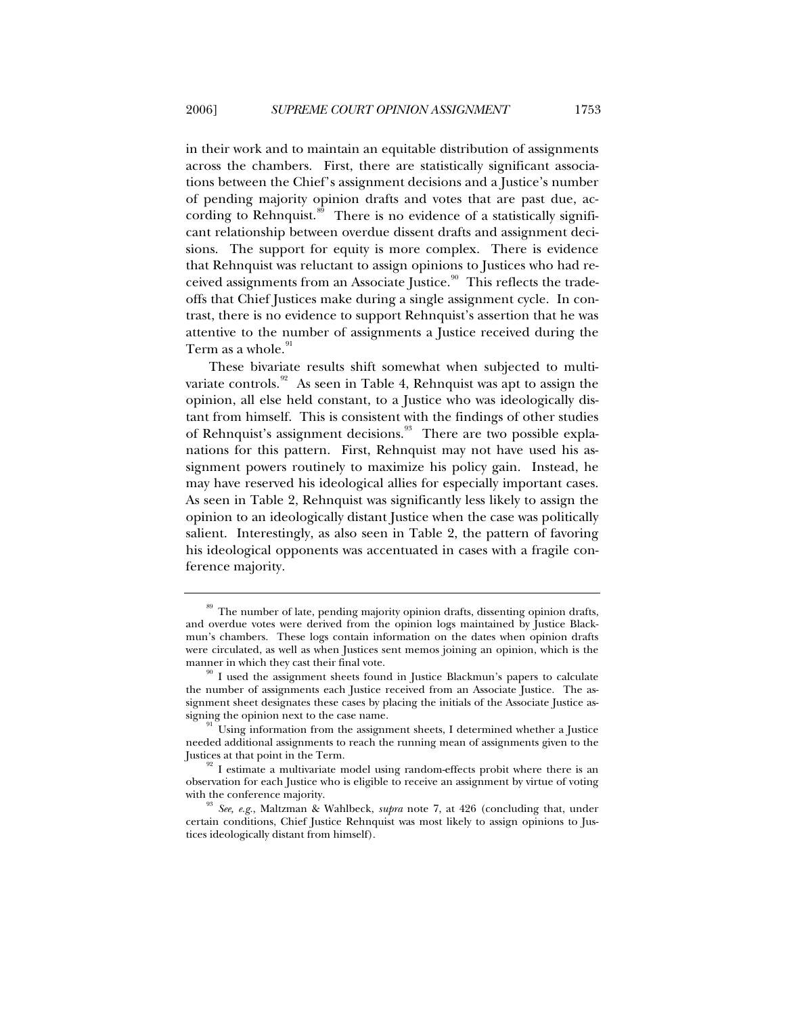in their work and to maintain an equitable distribution of assignments across the chambers. First, there are statistically significant associations between the Chief's assignment decisions and a Justice's number of pending majority opinion drafts and votes that are past due, ac-cording to Rehnquist.<sup>[89](#page-24-0)</sup> There is no evidence of a statistically significant relationship between overdue dissent drafts and assignment decisions. The support for equity is more complex. There is evidence that Rehnquist was reluctant to assign opinions to Justices who had re-ceived assignments from an Associate Justice.<sup>[90](#page-24-1)</sup> This reflects the tradeoffs that Chief Justices make during a single assignment cycle. In contrast, there is no evidence to support Rehnquist's assertion that he was attentive to the number of assignments a Justice received during the Term as a whole.<sup>[91](#page-24-2)</sup>

These bivariate results shift somewhat when subjected to multi-variate controls.<sup>[92](#page-24-3)</sup> As seen in Table 4, Rehnquist was apt to assign the opinion, all else held constant, to a Justice who was ideologically distant from himself. This is consistent with the findings of other studies of Rehnquist's assignment decisions.<sup>[93](#page-24-4)</sup> There are two possible explanations for this pattern. First, Rehnquist may not have used his assignment powers routinely to maximize his policy gain. Instead, he may have reserved his ideological allies for especially important cases. As seen in Table 2, Rehnquist was significantly less likely to assign the opinion to an ideologically distant Justice when the case was politically salient. Interestingly, as also seen in Table 2, the pattern of favoring his ideological opponents was accentuated in cases with a fragile conference majority.

<span id="page-24-0"></span><sup>89</sup> The number of late, pending majority opinion drafts, dissenting opinion drafts, and overdue votes were derived from the opinion logs maintained by Justice Blackmun's chambers. These logs contain information on the dates when opinion drafts were circulated, as well as when Justices sent memos joining an opinion, which is the

<span id="page-24-1"></span> $^{\text{90}}$  I used the assignment sheets found in Justice Blackmun's papers to calculate the number of assignments each Justice received from an Associate Justice. The assignment sheet designates these cases by placing the initials of the Associate Justice assigning the opinion next to the case name.<br><sup>91</sup> Using information from the assignment sheets, I determined whether a Justice

<span id="page-24-2"></span>needed additional assignments to reach the running mean of assignments given to the

<span id="page-24-3"></span> $92$  I estimate a multivariate model using random-effects probit where there is an observation for each Justice who is eligible to receive an assignment by virtue of voting with the conference majority.<br><sup>93</sup> *See, e.g.*, Maltzman & Wahlbeck, *supra* note 7, at 426 (concluding that, under

<span id="page-24-4"></span>certain conditions, Chief Justice Rehnquist was most likely to assign opinions to Justices ideologically distant from himself).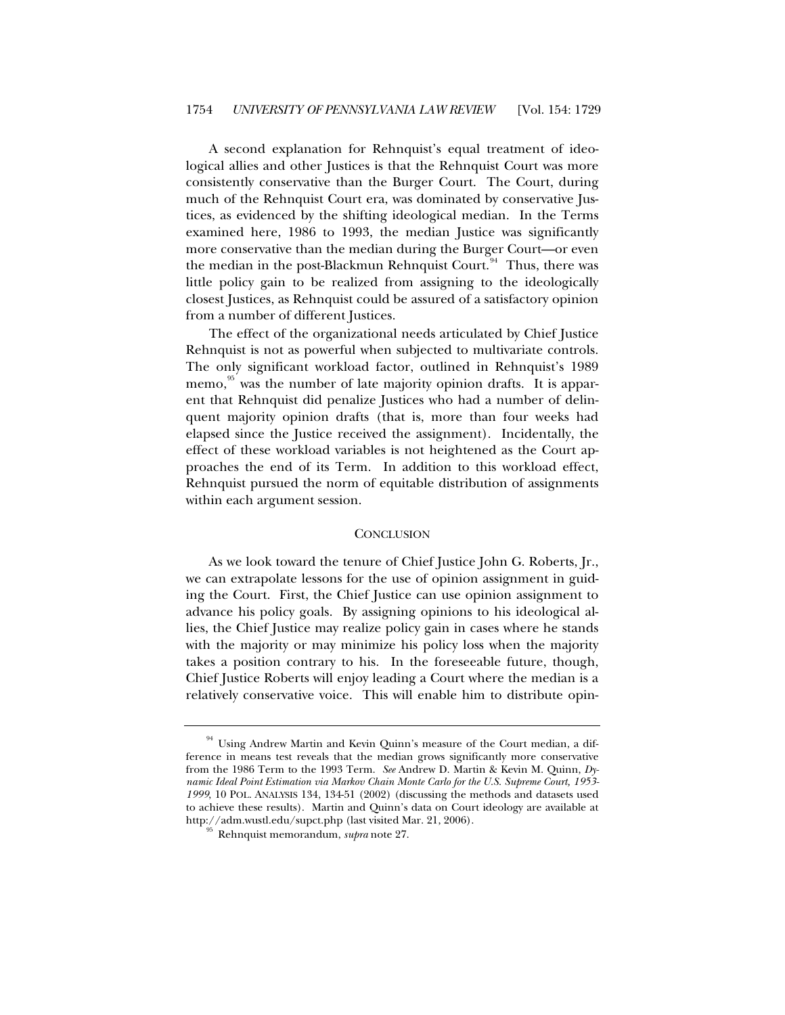A second explanation for Rehnquist's equal treatment of ideological allies and other Justices is that the Rehnquist Court was more consistently conservative than the Burger Court. The Court, during much of the Rehnquist Court era, was dominated by conservative Justices, as evidenced by the shifting ideological median. In the Terms examined here, 1986 to 1993, the median Justice was significantly more conservative than the median during the Burger Court—or even the median in the post-Blackmun Rehnquist Court.<sup>[94](#page-25-0)</sup> Thus, there was little policy gain to be realized from assigning to the ideologically closest Justices, as Rehnquist could be assured of a satisfactory opinion from a number of different Justices.

The effect of the organizational needs articulated by Chief Justice Rehnquist is not as powerful when subjected to multivariate controls. The only significant workload factor, outlined in Rehnquist's 1989 memo,<sup>[95](#page-25-1)</sup> was the number of late majority opinion drafts. It is apparent that Rehnquist did penalize Justices who had a number of delinquent majority opinion drafts (that is, more than four weeks had elapsed since the Justice received the assignment). Incidentally, the effect of these workload variables is not heightened as the Court approaches the end of its Term. In addition to this workload effect, Rehnquist pursued the norm of equitable distribution of assignments within each argument session.

#### **CONCLUSION**

As we look toward the tenure of Chief Justice John G. Roberts, Jr., we can extrapolate lessons for the use of opinion assignment in guiding the Court. First, the Chief Justice can use opinion assignment to advance his policy goals. By assigning opinions to his ideological allies, the Chief Justice may realize policy gain in cases where he stands with the majority or may minimize his policy loss when the majority takes a position contrary to his. In the foreseeable future, though, Chief Justice Roberts will enjoy leading a Court where the median is a relatively conservative voice. This will enable him to distribute opin-

<span id="page-25-1"></span><span id="page-25-0"></span><sup>&</sup>lt;sup>94</sup> Using Andrew Martin and Kevin Quinn's measure of the Court median, a difference in means test reveals that the median grows significantly more conservative from the 1986 Term to the 1993 Term. *See* Andrew D. Martin & Kevin M. Quinn, *Dynamic Ideal Point Estimation via Markov Chain Monte Carlo for the U.S. Supreme Court, 1953- 1999*, 10 POL. ANALYSIS 134, 134-51 (2002) (discussing the methods and datasets used to achieve these results). Martin and Quinn's data on Court ideology are available at http://adm.wustl.edu/supct.php (last visited Mar. 21, 2006). 95 Rehnquist memorandum, *supra* note 27.